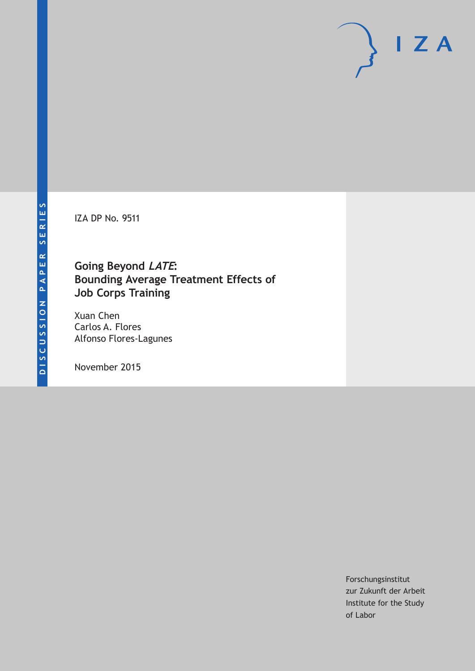IZA DP No. 9511

# **Going Beyond LATE: Bounding Average Treatment Effects of Job Corps Training**

Xuan Chen Carlos A. Flores Alfonso Flores-Lagunes

November 2015

Forschungsinstitut zur Zukunft der Arbeit Institute for the Study of Labor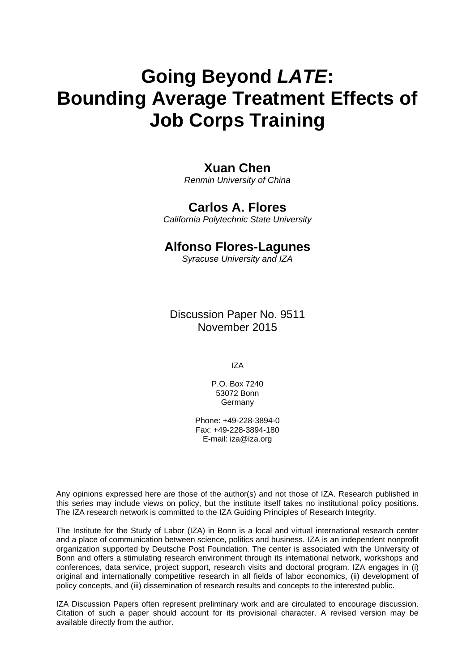# **Going Beyond** *LATE***: Bounding Average Treatment Effects of Job Corps Training**

# **Xuan Chen**

*Renmin University of China* 

# **Carlos A. Flores**

*California Polytechnic State University* 

# **Alfonso Flores-Lagunes**

*Syracuse University and IZA*

Discussion Paper No. 9511 November 2015

IZA

P.O. Box 7240 53072 Bonn Germany

Phone: +49-228-3894-0 Fax: +49-228-3894-180 E-mail: iza@iza.org

Any opinions expressed here are those of the author(s) and not those of IZA. Research published in this series may include views on policy, but the institute itself takes no institutional policy positions. The IZA research network is committed to the IZA Guiding Principles of Research Integrity.

The Institute for the Study of Labor (IZA) in Bonn is a local and virtual international research center and a place of communication between science, politics and business. IZA is an independent nonprofit organization supported by Deutsche Post Foundation. The center is associated with the University of Bonn and offers a stimulating research environment through its international network, workshops and conferences, data service, project support, research visits and doctoral program. IZA engages in (i) original and internationally competitive research in all fields of labor economics, (ii) development of policy concepts, and (iii) dissemination of research results and concepts to the interested public.

IZA Discussion Papers often represent preliminary work and are circulated to encourage discussion. Citation of such a paper should account for its provisional character. A revised version may be available directly from the author.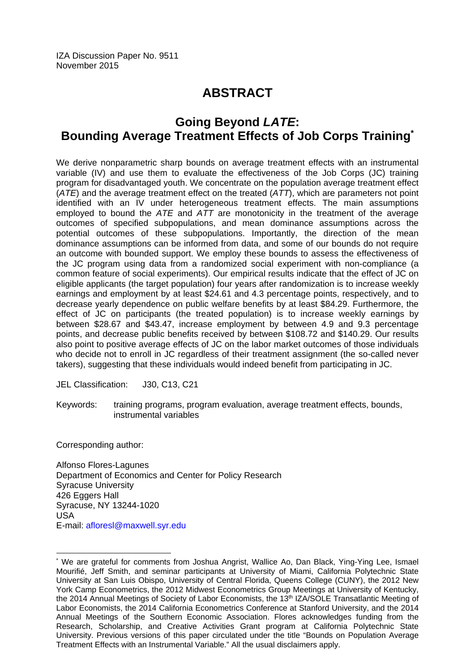# **ABSTRACT**

# **Going Beyond** *LATE***: Bounding Average Treatment Effects of Job Corps Training\***

We derive nonparametric sharp bounds on average treatment effects with an instrumental variable (IV) and use them to evaluate the effectiveness of the Job Corps (JC) training program for disadvantaged youth. We concentrate on the population average treatment effect (*ATE*) and the average treatment effect on the treated (*ATT*), which are parameters not point identified with an IV under heterogeneous treatment effects. The main assumptions employed to bound the *ATE* and *ATT* are monotonicity in the treatment of the average outcomes of specified subpopulations, and mean dominance assumptions across the potential outcomes of these subpopulations. Importantly, the direction of the mean dominance assumptions can be informed from data, and some of our bounds do not require an outcome with bounded support. We employ these bounds to assess the effectiveness of the JC program using data from a randomized social experiment with non-compliance (a common feature of social experiments). Our empirical results indicate that the effect of JC on eligible applicants (the target population) four years after randomization is to increase weekly earnings and employment by at least \$24.61 and 4.3 percentage points, respectively, and to decrease yearly dependence on public welfare benefits by at least \$84.29. Furthermore, the effect of JC on participants (the treated population) is to increase weekly earnings by between \$28.67 and \$43.47, increase employment by between 4.9 and 9.3 percentage points, and decrease public benefits received by between \$108.72 and \$140.29. Our results also point to positive average effects of JC on the labor market outcomes of those individuals who decide not to enroll in JC regardless of their treatment assignment (the so-called never takers), suggesting that these individuals would indeed benefit from participating in JC.

JEL Classification: J30, C13, C21

Keywords: training programs, program evaluation, average treatment effects, bounds, instrumental variables

Corresponding author:

 $\overline{a}$ 

Alfonso Flores-Lagunes Department of Economics and Center for Policy Research Syracuse University 426 Eggers Hall Syracuse, NY 13244-1020 USA E-mail: afloresl@maxwell.syr.edu

<sup>\*</sup> We are grateful for comments from Joshua Angrist, Wallice Ao, Dan Black, Ying-Ying Lee, Ismael Mourifié, Jeff Smith, and seminar participants at University of Miami, California Polytechnic State University at San Luis Obispo, University of Central Florida, Queens College (CUNY), the 2012 New York Camp Econometrics, the 2012 Midwest Econometrics Group Meetings at University of Kentucky, the 2014 Annual Meetings of Society of Labor Economists, the 13<sup>th</sup> IZA/SOLE Transatlantic Meeting of Labor Economists, the 2014 California Econometrics Conference at Stanford University, and the 2014 Annual Meetings of the Southern Economic Association. Flores acknowledges funding from the Research, Scholarship, and Creative Activities Grant program at California Polytechnic State University. Previous versions of this paper circulated under the title "Bounds on Population Average Treatment Effects with an Instrumental Variable." All the usual disclaimers apply.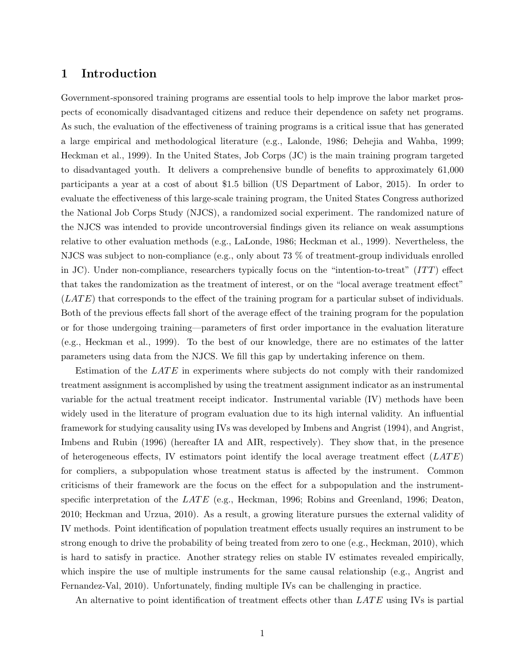# 1 Introduction

Government-sponsored training programs are essential tools to help improve the labor market prospects of economically disadvantaged citizens and reduce their dependence on safety net programs. As such, the evaluation of the effectiveness of training programs is a critical issue that has generated a large empirical and methodological literature (e.g., Lalonde, 1986; Dehejia and Wahba, 1999; Heckman et al., 1999). In the United States, Job Corps (JC) is the main training program targeted to disadvantaged youth. It delivers a comprehensive bundle of benefits to approximately 61,000 participants a year at a cost of about \$1.5 billion (US Department of Labor, 2015). In order to evaluate the effectiveness of this large-scale training program, the United States Congress authorized the National Job Corps Study (NJCS), a randomized social experiment. The randomized nature of the NJCS was intended to provide uncontroversial findings given its reliance on weak assumptions relative to other evaluation methods (e.g., LaLonde, 1986; Heckman et al., 1999). Nevertheless, the NJCS was subject to non-compliance (e.g., only about 73 % of treatment-group individuals enrolled in JC). Under non-compliance, researchers typically focus on the "intention-to-treat" ( $ITT$ ) effect that takes the randomization as the treatment of interest, or on the "local average treatment effect"  $(LATE)$  that corresponds to the effect of the training program for a particular subset of individuals. Both of the previous effects fall short of the average effect of the training program for the population or for those undergoing training—parameters of first order importance in the evaluation literature (e.g., Heckman et al., 1999). To the best of our knowledge, there are no estimates of the latter parameters using data from the NJCS. We fill this gap by undertaking inference on them.

Estimation of the  $LATE$  in experiments where subjects do not comply with their randomized treatment assignment is accomplished by using the treatment assignment indicator as an instrumental variable for the actual treatment receipt indicator. Instrumental variable (IV) methods have been widely used in the literature of program evaluation due to its high internal validity. An influential framework for studying causality using IVs was developed by Imbens and Angrist (1994), and Angrist, Imbens and Rubin (1996) (hereafter IA and AIR, respectively). They show that, in the presence of heterogeneous effects, IV estimators point identify the local average treatment effect  $(LATE)$ for compliers, a subpopulation whose treatment status is affected by the instrument. Common criticisms of their framework are the focus on the effect for a subpopulation and the instrumentspecific interpretation of the  $LATE$  (e.g., Heckman, 1996; Robins and Greenland, 1996; Deaton, 2010; Heckman and Urzua, 2010). As a result, a growing literature pursues the external validity of IV methods. Point identification of population treatment effects usually requires an instrument to be strong enough to drive the probability of being treated from zero to one (e.g., Heckman, 2010), which is hard to satisfy in practice. Another strategy relies on stable IV estimates revealed empirically, which inspire the use of multiple instruments for the same causal relationship (e.g., Angrist and Fernandez-Val, 2010). Unfortunately, finding multiple IVs can be challenging in practice.

An alternative to point identification of treatment effects other than  $LATE$  using IVs is partial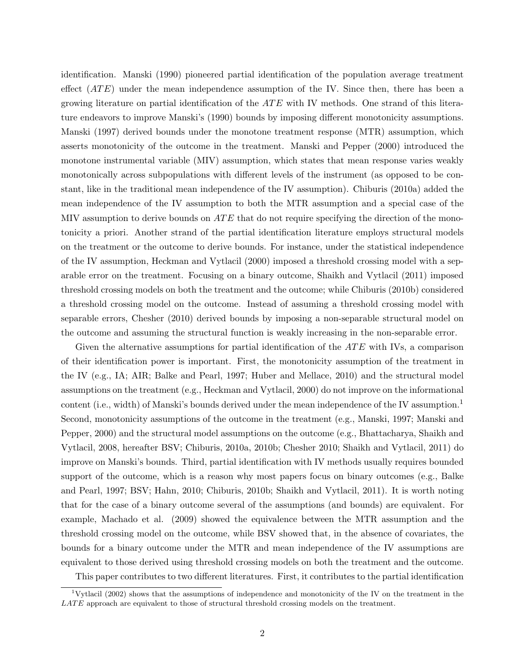identification. Manski (1990) pioneered partial identification of the population average treatment effect  $(ATE)$  under the mean independence assumption of the IV. Since then, there has been a growing literature on partial identification of the  $ATE$  with IV methods. One strand of this literature endeavors to improve Manski's (1990) bounds by imposing different monotonicity assumptions. Manski (1997) derived bounds under the monotone treatment response (MTR) assumption, which asserts monotonicity of the outcome in the treatment. Manski and Pepper (2000) introduced the monotone instrumental variable (MIV) assumption, which states that mean response varies weakly monotonically across subpopulations with different levels of the instrument (as opposed to be constant, like in the traditional mean independence of the IV assumption). Chiburis (2010a) added the mean independence of the IV assumption to both the MTR assumption and a special case of the MIV assumption to derive bounds on  $ATE$  that do not require specifying the direction of the monotonicity a priori. Another strand of the partial identification literature employs structural models on the treatment or the outcome to derive bounds. For instance, under the statistical independence of the IV assumption, Heckman and Vytlacil (2000) imposed a threshold crossing model with a separable error on the treatment. Focusing on a binary outcome, Shaikh and Vytlacil (2011) imposed threshold crossing models on both the treatment and the outcome; while Chiburis (2010b) considered a threshold crossing model on the outcome. Instead of assuming a threshold crossing model with separable errors, Chesher (2010) derived bounds by imposing a non-separable structural model on the outcome and assuming the structural function is weakly increasing in the non-separable error.

Given the alternative assumptions for partial identification of the  $ATE$  with IVs, a comparison of their identification power is important. First, the monotonicity assumption of the treatment in the IV (e.g., IA; AIR; Balke and Pearl, 1997; Huber and Mellace, 2010) and the structural model assumptions on the treatment (e.g., Heckman and Vytlacil, 2000) do not improve on the informational content (i.e., width) of Manski's bounds derived under the mean independence of the IV assumption.<sup>1</sup> Second, monotonicity assumptions of the outcome in the treatment (e.g., Manski, 1997; Manski and Pepper, 2000) and the structural model assumptions on the outcome (e.g., Bhattacharya, Shaikh and Vytlacil, 2008, hereafter BSV; Chiburis, 2010a, 2010b; Chesher 2010; Shaikh and Vytlacil, 2011) do improve on Manski's bounds. Third, partial identification with IV methods usually requires bounded support of the outcome, which is a reason why most papers focus on binary outcomes (e.g., Balke and Pearl, 1997; BSV; Hahn, 2010; Chiburis, 2010b; Shaikh and Vytlacil, 2011). It is worth noting that for the case of a binary outcome several of the assumptions (and bounds) are equivalent. For example, Machado et al. (2009) showed the equivalence between the MTR assumption and the threshold crossing model on the outcome, while BSV showed that, in the absence of covariates, the bounds for a binary outcome under the MTR and mean independence of the IV assumptions are equivalent to those derived using threshold crossing models on both the treatment and the outcome.

This paper contributes to two different literatures. First, it contributes to the partial identification

<sup>1</sup>Vytlacil (2002) shows that the assumptions of independence and monotonicity of the IV on the treatment in the  $LATE$  approach are equivalent to those of structural threshold crossing models on the treatment.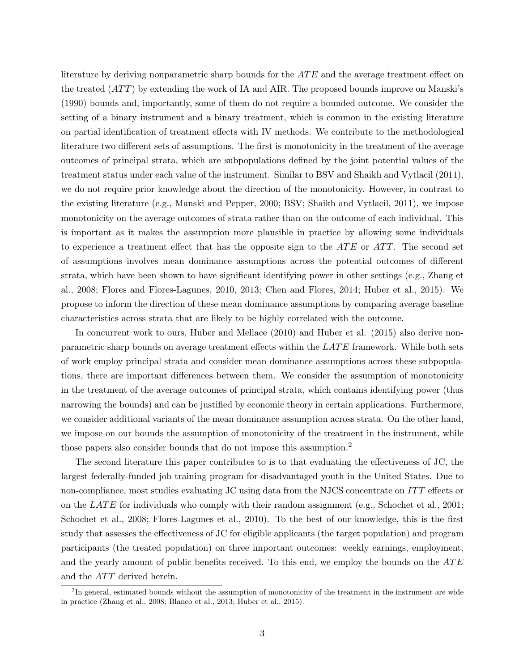literature by deriving nonparametric sharp bounds for the ATE and the average treatment effect on the treated  $(ATT)$  by extending the work of IA and AIR. The proposed bounds improve on Manski's (1990) bounds and, importantly, some of them do not require a bounded outcome. We consider the setting of a binary instrument and a binary treatment, which is common in the existing literature on partial identification of treatment effects with IV methods. We contribute to the methodological literature two different sets of assumptions. The first is monotonicity in the treatment of the average outcomes of principal strata, which are subpopulations defined by the joint potential values of the treatment status under each value of the instrument. Similar to BSV and Shaikh and Vytlacil (2011), we do not require prior knowledge about the direction of the monotonicity. However, in contrast to the existing literature (e.g., Manski and Pepper, 2000; BSV; Shaikh and Vytlacil, 2011), we impose monotonicity on the average outcomes of strata rather than on the outcome of each individual. This is important as it makes the assumption more plausible in practice by allowing some individuals to experience a treatment effect that has the opposite sign to the  $ATE$  or  $ATT$ . The second set of assumptions involves mean dominance assumptions across the potential outcomes of different strata, which have been shown to have significant identifying power in other settings (e.g., Zhang et al., 2008; Flores and Flores-Lagunes, 2010, 2013; Chen and Flores, 2014; Huber et al., 2015). We propose to inform the direction of these mean dominance assumptions by comparing average baseline characteristics across strata that are likely to be highly correlated with the outcome.

In concurrent work to ours, Huber and Mellace  $(2010)$  and Huber et al.  $(2015)$  also derive nonparametric sharp bounds on average treatment effects within the  $LATE$  framework. While both sets of work employ principal strata and consider mean dominance assumptions across these subpopulations, there are important differences between them. We consider the assumption of monotonicity in the treatment of the average outcomes of principal strata, which contains identifying power (thus narrowing the bounds) and can be justified by economic theory in certain applications. Furthermore, we consider additional variants of the mean dominance assumption across strata. On the other hand, we impose on our bounds the assumption of monotonicity of the treatment in the instrument, while those papers also consider bounds that do not impose this assumption.<sup>2</sup>

The second literature this paper contributes to is to that evaluating the effectiveness of JC, the largest federally-funded job training program for disadvantaged youth in the United States. Due to non-compliance, most studies evaluating JC using data from the NJCS concentrate on ITT effects or on the LATE for individuals who comply with their random assignment (e.g., Schochet et al., 2001; Schochet et al., 2008; Flores-Lagunes et al., 2010). To the best of our knowledge, this is the first study that assesses the effectiveness of JC for eligible applicants (the target population) and program participants (the treated population) on three important outcomes: weekly earnings, employment, and the yearly amount of public benefits received. To this end, we employ the bounds on the  $ATE$ and the *ATT* derived herein.

<sup>&</sup>lt;sup>2</sup>In general, estimated bounds without the assumption of monotonicity of the treatment in the instrument are wide in practice (Zhang et al., 2008; Blanco et al., 2013; Huber et al., 2015).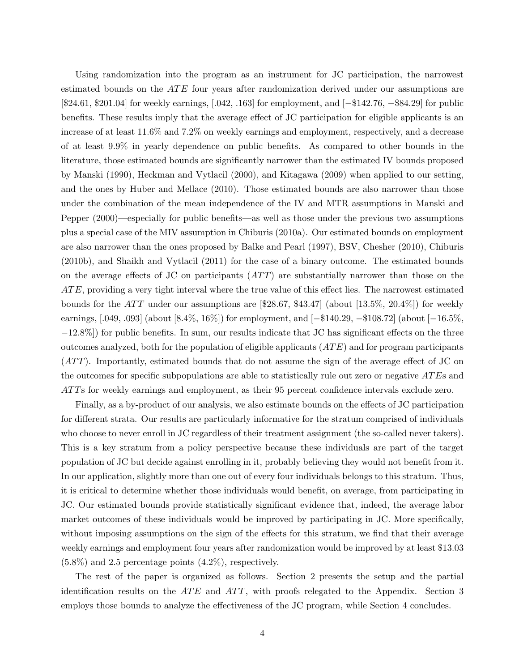Using randomization into the program as an instrument for JC participation, the narrowest estimated bounds on the  $ATE$  four years after randomization derived under our assumptions are [\$24.61, \$201.04] for weekly earnings, [.042, .163] for employment, and [−\$142.76, −\$84.29] for public benefits. These results imply that the average effect of JC participation for eligible applicants is an increase of at least 11.6% and 7.2% on weekly earnings and employment, respectively, and a decrease of at least 9.9% in yearly dependence on public benefits. As compared to other bounds in the literature, those estimated bounds are significantly narrower than the estimated IV bounds proposed by Manski (1990), Heckman and Vytlacil (2000), and Kitagawa (2009) when applied to our setting, and the ones by Huber and Mellace (2010). Those estimated bounds are also narrower than those under the combination of the mean independence of the IV and MTR assumptions in Manski and Pepper (2000)—especially for public benefits—as well as those under the previous two assumptions plus a special case of the MIV assumption in Chiburis (2010a). Our estimated bounds on employment are also narrower than the ones proposed by Balke and Pearl (1997), BSV, Chesher (2010), Chiburis (2010b), and Shaikh and Vytlacil (2011) for the case of a binary outcome. The estimated bounds on the average effects of JC on participants  $(ATT)$  are substantially narrower than those on the  $ATE$ , providing a very tight interval where the true value of this effect lies. The narrowest estimated bounds for the ATT under our assumptions are  $[$28.67, $43.47]$  (about  $[13.5\%, 20.4\%]$ ) for weekly earnings, [.049, .093] (about [8.4%, 16%]) for employment, and [−\$140.29, −\$108.72] (about [−16.5%, −12.8%]) for public benefits. In sum, our results indicate that JC has significant effects on the three outcomes analyzed, both for the population of eligible applicants  $(ATE)$  and for program participants  $(ATT)$ . Importantly, estimated bounds that do not assume the sign of the average effect of JC on the outcomes for specific subpopulations are able to statistically rule out zero or negative ATEs and ATTs for weekly earnings and employment, as their 95 percent confidence intervals exclude zero.

Finally, as a by-product of our analysis, we also estimate bounds on the effects of JC participation for different strata. Our results are particularly informative for the stratum comprised of individuals who choose to never enroll in JC regardless of their treatment assignment (the so-called never takers). This is a key stratum from a policy perspective because these individuals are part of the target population of JC but decide against enrolling in it, probably believing they would not benefit from it. In our application, slightly more than one out of every four individuals belongs to this stratum. Thus, it is critical to determine whether those individuals would benefit, on average, from participating in JC. Our estimated bounds provide statistically significant evidence that, indeed, the average labor market outcomes of these individuals would be improved by participating in JC. More specifically, without imposing assumptions on the sign of the effects for this stratum, we find that their average weekly earnings and employment four years after randomization would be improved by at least \$13.03 (5.8%) and 2.5 percentage points (4.2%), respectively.

The rest of the paper is organized as follows. Section 2 presents the setup and the partial identification results on the  $ATE$  and  $ATT$ , with proofs relegated to the Appendix. Section 3 employs those bounds to analyze the effectiveness of the JC program, while Section 4 concludes.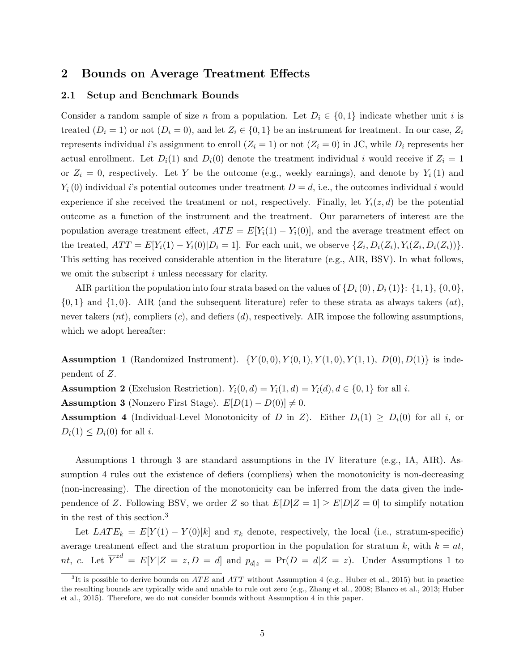## 2 Bounds on Average Treatment Effects

## 2.1 Setup and Benchmark Bounds

Consider a random sample of size n from a population. Let  $D_i \in \{0,1\}$  indicate whether unit i is treated  $(D_i = 1)$  or not  $(D_i = 0)$ , and let  $Z_i \in \{0,1\}$  be an instrument for treatment. In our case,  $Z_i$ represents individual i's assignment to enroll  $(Z_i = 1)$  or not  $(Z_i = 0)$  in JC, while  $D_i$  represents her actual enrollment. Let  $D_i(1)$  and  $D_i(0)$  denote the treatment individual i would receive if  $Z_i = 1$ or  $Z_i = 0$ , respectively. Let Y be the outcome (e.g., weekly earnings), and denote by  $Y_i(1)$  and  $Y_i(0)$  individual i's potential outcomes under treatment  $D = d$ , i.e., the outcomes individual i would experience if she received the treatment or not, respectively. Finally, let  $Y_i(z, d)$  be the potential outcome as a function of the instrument and the treatment. Our parameters of interest are the population average treatment effect,  $ATE = E[Y_i(1) - Y_i(0)]$ , and the average treatment effect on the treated,  $ATT = E[Y_i(1) - Y_i(0)|D_i = 1]$ . For each unit, we observe  $\{Z_i, D_i(Z_i), Y_i(Z_i, D_i(Z_i))\}$ . This setting has received considerable attention in the literature (e.g., AIR, BSV). In what follows, we omit the subscript i unless necessary for clarity.

AIR partition the population into four strata based on the values of  $\{D_i(0), D_i(1)\}$ :  $\{1, 1\}$ ,  $\{0, 0\}$ ,  $\{0,1\}$  and  $\{1,0\}$ . AIR (and the subsequent literature) refer to these strata as always takers  $(at)$ , never takers  $(nt)$ , compliers  $(c)$ , and defiers  $(d)$ , respectively. AIR impose the following assumptions, which we adopt hereafter:

**Assumption 1** (Randomized Instrument).  $\{Y(0,0), Y(0,1), Y(1,0), Y(1,1), D(0), D(1)\}\)$  is independent of Z.

**Assumption 2** (Exclusion Restriction).  $Y_i(0, d) = Y_i(1, d) = Y_i(d), d \in \{0, 1\}$  for all i.

**Assumption 3** (Nonzero First Stage).  $E[D(1) - D(0)] \neq 0$ .

**Assumption 4** (Individual-Level Monotonicity of D in Z). Either  $D_i(1) \geq D_i(0)$  for all i, or  $D_i(1) \leq D_i(0)$  for all *i*.

Assumptions 1 through 3 are standard assumptions in the IV literature (e.g., IA, AIR). Assumption 4 rules out the existence of defiers (compliers) when the monotonicity is non-decreasing (non-increasing). The direction of the monotonicity can be inferred from the data given the independence of Z. Following BSV, we order Z so that  $E[D|Z=1] \geq E[D|Z=0]$  to simplify notation in the rest of this section.<sup>3</sup>

Let  $LATE_k = E[Y(1) - Y(0)|k]$  and  $\pi_k$  denote, respectively, the local (i.e., stratum-specific) average treatment effect and the stratum proportion in the population for stratum k, with  $k = at$ , nt, c. Let  $\overline{Y}^{zd} = E[Y|Z = z, D = d]$  and  $p_{d|z} = Pr(D = d|Z = z)$ . Under Assumptions 1 to

 ${}^{3}$ It is possible to derive bounds on *ATE* and *ATT* without Assumption 4 (e.g., Huber et al., 2015) but in practice the resulting bounds are typically wide and unable to rule out zero (e.g., Zhang et al., 2008; Blanco et al., 2013; Huber et al., 2015). Therefore, we do not consider bounds without Assumption 4 in this paper.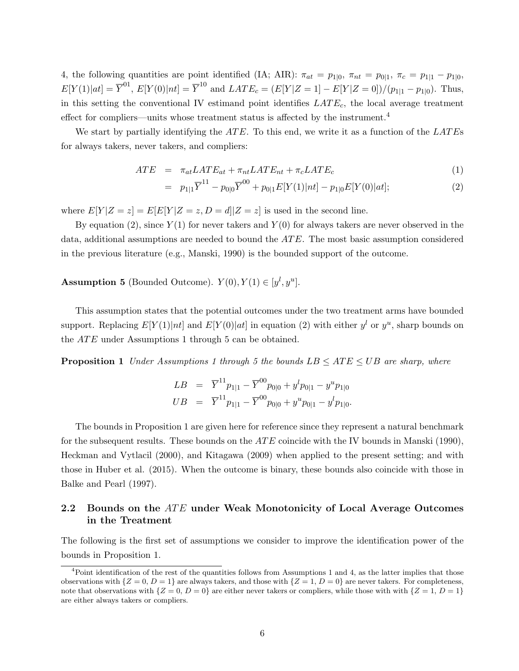4, the following quantities are point identified (IA; AIR):  $\pi_{at} = p_{1|0}, \pi_{nt} = p_{0|1}, \pi_c = p_{1|1} - p_{1|0}$ ,  $E[Y(1)|at] = \overline{Y}^{01}$ ,  $E[Y(0)|nt] = \overline{Y}^{10}$  and  $LATE_c = (E[Y|Z=1] - E[Y|Z=0])/(p_{1|1} - p_{1|0})$ . Thus, in this setting the conventional IV estimand point identifies  $LATE_c$ , the local average treatment effect for compliers—units whose treatment status is affected by the instrument.<sup>4</sup>

We start by partially identifying the  $ATE$ . To this end, we write it as a function of the  $LATE$ for always takers, never takers, and compliers:

$$
ATE = \pi_{at} LATE_{at} + \pi_{nt} LATE_{nt} + \pi_c LATE_c \tag{1}
$$

$$
= p_{1|1}\overline{Y}^{11} - p_{0|0}\overline{Y}^{00} + p_{0|1}E[Y(1)|nt] - p_{1|0}E[Y(0)|at];
$$
\n(2)

where  $E[Y|Z=z] = E[E[Y|Z=z, D=d]|Z=z]$  is used in the second line.

By equation (2), since  $Y(1)$  for never takers and  $Y(0)$  for always takers are never observed in the data, additional assumptions are needed to bound the  $ATE$ . The most basic assumption considered in the previous literature (e.g., Manski, 1990) is the bounded support of the outcome.

**Assumption 5** (Bounded Outcome).  $Y(0), Y(1) \in [y^l, y^u]$ .

This assumption states that the potential outcomes under the two treatment arms have bounded support. Replacing  $E[Y(1)|nt]$  and  $E[Y(0)|at]$  in equation (2) with either  $y<sup>l</sup>$  or  $y<sup>u</sup>$ , sharp bounds on the  $ATE$  under Assumptions 1 through 5 can be obtained.

**Proposition 1** Under Assumptions 1 through 5 the bounds  $LB \leq ATE \leq UB$  are sharp, where

$$
LB = \overline{Y}^{11} p_{1|1} - \overline{Y}^{00} p_{0|0} + y^l p_{0|1} - y^u p_{1|0}
$$
  

$$
UB = \overline{Y}^{11} p_{1|1} - \overline{Y}^{00} p_{0|0} + y^u p_{0|1} - y^l p_{1|0}.
$$

The bounds in Proposition 1 are given here for reference since they represent a natural benchmark for the subsequent results. These bounds on the  $ATE$  coincide with the IV bounds in Manski (1990), Heckman and Vytlacil (2000), and Kitagawa (2009) when applied to the present setting; and with those in Huber et al. (2015). When the outcome is binary, these bounds also coincide with those in Balke and Pearl (1997).

# 2.2 Bounds on the ATE under Weak Monotonicity of Local Average Outcomes in the Treatment

The following is the first set of assumptions we consider to improve the identification power of the bounds in Proposition 1.

 $4P$ oint identification of the rest of the quantities follows from Assumptions 1 and 4, as the latter implies that those observations with  $\{Z = 0, D = 1\}$  are always takers, and those with  $\{Z = 1, D = 0\}$  are never takers. For completeness, note that observations with  $\{Z = 0, D = 0\}$  are either never takers or compliers, while those with with  $\{Z = 1, D = 1\}$ are either always takers or compliers.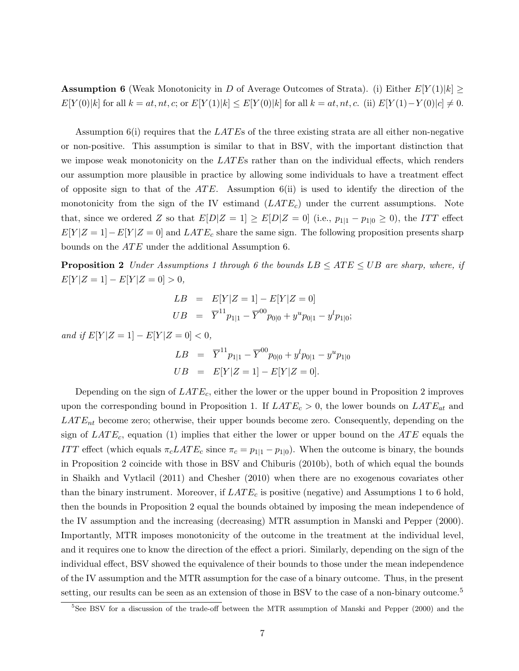**Assumption 6** (Weak Monotonicity in D of Average Outcomes of Strata). (i) Either  $E[Y(1)|k] \ge$  $E[Y(0)|k]$  for all  $k = at, nt, c$ ; or  $E[Y(1)|k] \le E[Y(0)|k]$  for all  $k = at, nt, c$ . (ii)  $E[Y(1) - Y(0)|c] \neq 0$ .

Assumption  $6(i)$  requires that the LATEs of the three existing strata are all either non-negative or non-positive. This assumption is similar to that in BSV, with the important distinction that we impose weak monotonicity on the  $LATEs$  rather than on the individual effects, which renders our assumption more plausible in practice by allowing some individuals to have a treatment effect of opposite sign to that of the  $ATE$ . Assumption 6(ii) is used to identify the direction of the monotonicity from the sign of the IV estimand  $(LATE_c)$  under the current assumptions. Note that, since we ordered Z so that  $E[D|Z=1] \geq E[D|Z=0]$  (i.e.,  $p_{1|1} - p_{1|0} \geq 0$ ), the ITT effect  $E[Y|Z=1]-E[Y|Z=0]$  and  $LATE_c$  share the same sign. The following proposition presents sharp bounds on the *ATE* under the additional Assumption 6.

**Proposition 2** Under Assumptions 1 through 6 the bounds  $LB \leq ATE \leq UB$  are sharp, where, if  $E[Y|Z=1]-E[Y|Z=0]>0,$ 

$$
LB = E[Y|Z=1] - E[Y|Z=0]
$$
  

$$
UB = \overline{Y}^{11} p_{1|1} - \overline{Y}^{00} p_{0|0} + y^u p_{0|1} - y^l p_{1|0};
$$

and if  $E[Y|Z=1] - E[Y|Z=0] < 0$ ,

$$
LB = \overline{Y}^{11} p_{1|1} - \overline{Y}^{00} p_{0|0} + y^l p_{0|1} - y^u p_{1|0}
$$
  

$$
UB = E[Y|Z=1] - E[Y|Z=0].
$$

Depending on the sign of  $LATE_c$ , either the lower or the upper bound in Proposition 2 improves upon the corresponding bound in Proposition 1. If  $LATE_c > 0$ , the lower bounds on  $LATE_{at}$  and  $LATE_{nt}$  become zero; otherwise, their upper bounds become zero. Consequently, depending on the sign of  $LATE_c$ , equation (1) implies that either the lower or upper bound on the  $ATE$  equals the ITT effect (which equals  $\pi_c LATE_c$  since  $\pi_c = p_{1|1} - p_{1|0}$ ). When the outcome is binary, the bounds in Proposition 2 coincide with those in BSV and Chiburis (2010b), both of which equal the bounds in Shaikh and Vytlacil (2011) and Chesher (2010) when there are no exogenous covariates other than the binary instrument. Moreover, if  $LATE_c$  is positive (negative) and Assumptions 1 to 6 hold, then the bounds in Proposition 2 equal the bounds obtained by imposing the mean independence of the IV assumption and the increasing (decreasing) MTR assumption in Manski and Pepper (2000). Importantly, MTR imposes monotonicity of the outcome in the treatment at the individual level, and it requires one to know the direction of the effect a priori. Similarly, depending on the sign of the individual effect, BSV showed the equivalence of their bounds to those under the mean independence of the IV assumption and the MTR assumption for the case of a binary outcome. Thus, in the present setting, our results can be seen as an extension of those in BSV to the case of a non-binary outcome.<sup>5</sup>

<sup>&</sup>lt;sup>5</sup>See BSV for a discussion of the trade-off between the MTR assumption of Manski and Pepper (2000) and the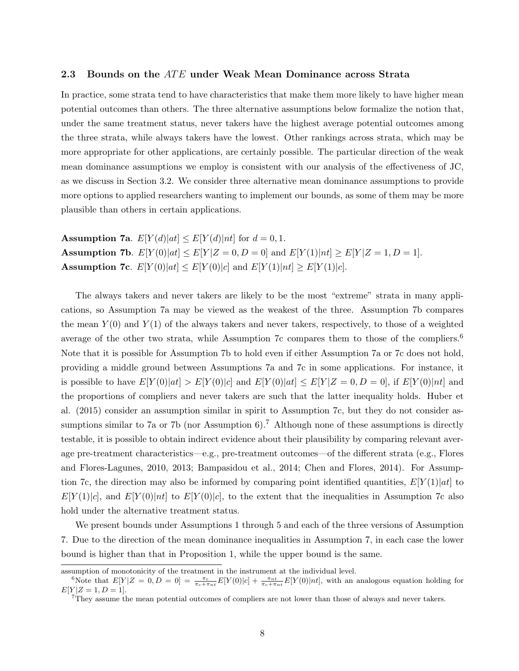#### 2.3 Bounds on the  $ATE$  under Weak Mean Dominance across Strata

In practice, some strata tend to have characteristics that make them more likely to have higher mean potential outcomes than others. The three alternative assumptions below formalize the notion that, under the same treatment status, never takers have the highest average potential outcomes among the three strata, while always takers have the lowest. Other rankings across strata, which may be more appropriate for other applications, are certainly possible. The particular direction of the weak mean dominance assumptions we employ is consistent with our analysis of the effectiveness of JC, as we discuss in Section 3.2. We consider three alternative mean dominance assumptions to provide more options to applied researchers wanting to implement our bounds, as some of them may be more plausible than others in certain applications.

Assumption 7a.  $E[Y(d)|at] \leq E[Y(d)|nt]$  for  $d = 0, 1$ . **Assumption 7b.**  $E[Y(0)|at] \leq E[Y|Z=0,D=0]$  and  $E[Y(1)|nt] \geq E[Y|Z=1,D=1]$ . **Assumption 7c.**  $E[Y(0)|at] \leq E[Y(0)|c]$  and  $E[Y(1)|nt] \geq E[Y(1)|c]$ .

The always takers and never takers are likely to be the most "extreme" strata in many applications, so Assumption 7a may be viewed as the weakest of the three. Assumption 7b compares the mean  $Y(0)$  and  $Y(1)$  of the always takers and never takers, respectively, to those of a weighted average of the other two strata, while Assumption 7c compares them to those of the compliers.<sup>6</sup> Note that it is possible for Assumption 7b to hold even if either Assumption 7a or 7c does not hold, providing a middle ground between Assumptions 7a and 7c in some applications. For instance, it is possible to have  $E[Y(0)|at] > E[Y(0)|c]$  and  $E[Y(0)|at] \leq E[Y|Z=0,D=0]$ , if  $E[Y(0)|nt]$  and the proportions of compliers and never takers are such that the latter inequality holds. Huber et al. (2015) consider an assumption similar in spirit to Assumption 7c, but they do not consider assumptions similar to 7a or 7b (nor Assumption 6).<sup>7</sup> Although none of these assumptions is directly testable, it is possible to obtain indirect evidence about their plausibility by comparing relevant average pre-treatment characteristics—e.g., pre-treatment outcomes—of the different strata (e.g., Flores and Flores-Lagunes, 2010, 2013; Bampasidou et al., 2014; Chen and Flores, 2014). For Assumption 7c, the direction may also be informed by comparing point identified quantities,  $E[Y(1)|at]$  to  $E[Y(1)|c]$ , and  $E[Y(0)|nt]$  to  $E[Y(0)|c]$ , to the extent that the inequalities in Assumption 7c also hold under the alternative treatment status.

We present bounds under Assumptions 1 through 5 and each of the three versions of Assumption 7. Due to the direction of the mean dominance inequalities in Assumption 7, in each case the lower bound is higher than that in Proposition 1, while the upper bound is the same.

assumption of monotonicity of the treatment in the instrument at the individual level.

<sup>&</sup>lt;sup>6</sup>Note that  $E[Y|Z=0,D=0] = \frac{\pi_c}{\pi_c + \pi_{nt}} E[Y(0)|c] + \frac{\pi_{nt}}{\pi_c + \pi_{nt}} E[Y(0)|nt]$ , with an analogous equation holding for  $E[Y|Z = 1, D = 1].$ 

<sup>7</sup>They assume the mean potential outcomes of compliers are not lower than those of always and never takers.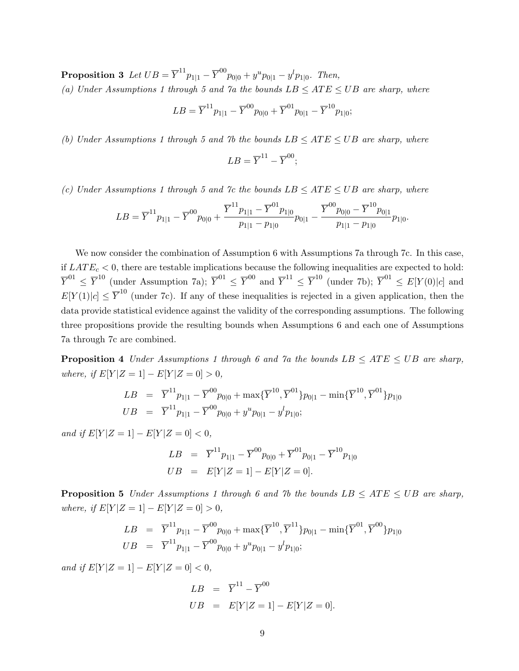$\textbf{Proposition 3 \ \ } Let \; UB = \overline{Y}^{11} p_{1|1} - \overline{Y}^{00} p_{0|0} + y^u p_{0|1} - y^l p_{1|0}. \ \; Then,$ (a) Under Assumptions 1 through 5 and 7a the bounds  $LB \leq ATE \leq UB$  are sharp, where

$$
LB = \overline{Y}^{11} p_{1|1} - \overline{Y}^{00} p_{0|0} + \overline{Y}^{01} p_{0|1} - \overline{Y}^{10} p_{1|0};
$$

(b) Under Assumptions 1 through 5 and 7b the bounds  $LB \leq ATE \leq UB$  are sharp, where

$$
LB = \overline{Y}^{11} - \overline{Y}^{00};
$$

(c) Under Assumptions 1 through 5 and 7c the bounds  $LB \leq ATE \leq UB$  are sharp, where

$$
LB = \overline{Y}^{11} p_{1|1} - \overline{Y}^{00} p_{0|0} + \frac{\overline{Y}^{11} p_{1|1} - \overline{Y}^{01} p_{1|0}}{p_{1|1} - p_{1|0}} p_{0|1} - \frac{\overline{Y}^{00} p_{0|0} - \overline{Y}^{10} p_{0|1}}{p_{1|1} - p_{1|0}} p_{1|0}.
$$

We now consider the combination of Assumption 6 with Assumptions 7a through 7c. In this case, if  $LATE<sub>c</sub> < 0$ , there are testable implications because the following inequalities are expected to hold:  $\overline{Y}^{01} \leq \overline{Y}^{10}$  (under Assumption 7a);  $\overline{Y}^{01} \leq \overline{Y}^{00}$  and  $\overline{Y}^{11} \leq \overline{Y}^{10}$  (under 7b);  $\overline{Y}^{01} \leq E[Y(0)|c]$  and  $E[Y(1)|c] \leq \overline{Y}^{10}$  (under 7c). If any of these inequalities is rejected in a given application, then the data provide statistical evidence against the validity of the corresponding assumptions. The following three propositions provide the resulting bounds when Assumptions 6 and each one of Assumptions 7a through 7c are combined.

**Proposition 4** Under Assumptions 1 through 6 and 7a the bounds  $LB \leq ATE \leq UB$  are sharp, where, if  $E[Y|Z = 1] - E[Y|Z = 0] > 0$ ,

$$
LB = \overline{Y}^{11} p_{1|1} - \overline{Y}^{00} p_{0|0} + \max{\{\overline{Y}^{10}, \overline{Y}^{01}\}} p_{0|1} - \min{\{\overline{Y}^{10}, \overline{Y}^{01}\}} p_{1|0}
$$
  

$$
UB = \overline{Y}^{11} p_{1|1} - \overline{Y}^{00} p_{0|0} + y^u p_{0|1} - y^l p_{1|0};
$$

and if  $E[Y|Z = 1] - E[Y|Z = 0] < 0$ ,

$$
LB = \overline{Y}^{11} p_{1|1} - \overline{Y}^{00} p_{0|0} + \overline{Y}^{01} p_{0|1} - \overline{Y}^{10} p_{1|0}
$$
  

$$
UB = E[Y|Z=1] - E[Y|Z=0].
$$

**Proposition 5** Under Assumptions 1 through 6 and 7b the bounds  $LB \leq ATE \leq UB$  are sharp, where, if  $E[Y|Z=1] - E[Y|Z=0] > 0$ ,

$$
LB = \overline{Y}^{11} p_{1|1} - \overline{Y}^{00} p_{0|0} + \max{\{\overline{Y}^{10}, \overline{Y}^{11}\}} p_{0|1} - \min{\{\overline{Y}^{01}, \overline{Y}^{00}\}} p_{1|0}
$$
  

$$
UB = \overline{Y}^{11} p_{1|1} - \overline{Y}^{00} p_{0|0} + y^u p_{0|1} - y^l p_{1|0};
$$

and if  $E[Y|Z = 1] - E[Y|Z = 0] < 0$ ,

$$
LB = \overline{Y}^{11} - \overline{Y}^{00}
$$
  

$$
UB = E[Y|Z=1] - E[Y|Z=0].
$$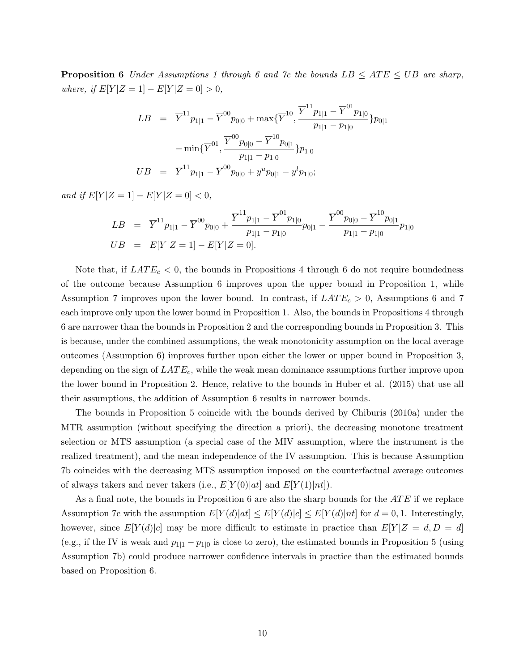**Proposition 6** Under Assumptions 1 through 6 and 7c the bounds  $LB \leq ATE \leq UB$  are sharp, where, if  $E[Y|Z = 1] - E[Y|Z = 0] > 0$ ,

$$
LB = \overline{Y}^{11} p_{1|1} - \overline{Y}^{00} p_{0|0} + \max{\{\overline{Y}^{10}, \frac{\overline{Y}^{11} p_{1|1} - \overline{Y}^{01} p_{1|0}}{p_{1|1} - p_{1|0}}\}} p_{0|1}
$$

$$
- \min{\{\overline{Y}^{01}, \frac{\overline{Y}^{00} p_{0|0} - \overline{Y}^{10} p_{0|1}}{p_{1|1} - p_{1|0}}\}} p_{1|0}
$$

$$
UB = \overline{Y}^{11} p_{1|1} - \overline{Y}^{00} p_{0|0} + y^u p_{0|1} - y^l p_{1|0};
$$

and if  $E[Y|Z = 1] - E[Y|Z = 0] < 0$ ,

$$
LB = \overline{Y}^{11} p_{1|1} - \overline{Y}^{00} p_{0|0} + \frac{\overline{Y}^{11} p_{1|1} - \overline{Y}^{01} p_{1|0}}{p_{1|1} - p_{1|0}} p_{0|1} - \frac{\overline{Y}^{00} p_{0|0} - \overline{Y}^{10} p_{0|1}}{p_{1|1} - p_{1|0}} p_{1|0}
$$
  
\n
$$
UB = E[Y|Z = 1] - E[Y|Z = 0].
$$

Note that, if  $LATE_c < 0$ , the bounds in Propositions 4 through 6 do not require boundedness of the outcome because Assumption 6 improves upon the upper bound in Proposition 1, while Assumption 7 improves upon the lower bound. In contrast, if  $LATE_c > 0$ , Assumptions 6 and 7 each improve only upon the lower bound in Proposition 1. Also, the bounds in Propositions 4 through 6 are narrower than the bounds in Proposition 2 and the corresponding bounds in Proposition 3. This is because, under the combined assumptions, the weak monotonicity assumption on the local average outcomes (Assumption 6) improves further upon either the lower or upper bound in Proposition 3, depending on the sign of  $LATE_c$ , while the weak mean dominance assumptions further improve upon the lower bound in Proposition 2. Hence, relative to the bounds in Huber et al. (2015) that use all their assumptions, the addition of Assumption 6 results in narrower bounds.

The bounds in Proposition 5 coincide with the bounds derived by Chiburis (2010a) under the MTR assumption (without specifying the direction a priori), the decreasing monotone treatment selection or MTS assumption (a special case of the MIV assumption, where the instrument is the realized treatment), and the mean independence of the IV assumption. This is because Assumption 7b coincides with the decreasing MTS assumption imposed on the counterfactual average outcomes of always takers and never takers (i.e.,  $E[Y(0)|at]$  and  $E[Y(1)|nt]$ ).

As a final note, the bounds in Proposition 6 are also the sharp bounds for the  $ATE$  if we replace Assumption 7c with the assumption  $E[Y(d)|at] \leq E[Y(d)|c] \leq E[Y(d)|nt]$  for  $d = 0, 1$ . Interestingly, however, since  $E[Y(d)|c]$  may be more difficult to estimate in practice than  $E[Y|Z=d, D=d]$ (e.g., if the IV is weak and  $p_{1|1} - p_{1|0}$  is close to zero), the estimated bounds in Proposition 5 (using Assumption 7b) could produce narrower confidence intervals in practice than the estimated bounds based on Proposition 6.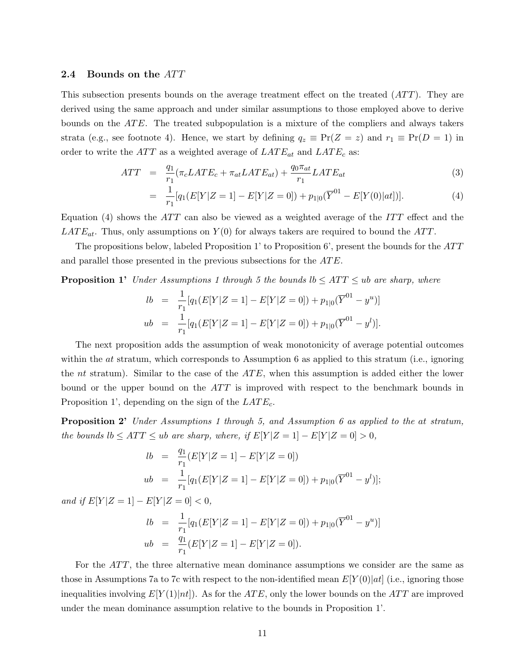#### 2.4 Bounds on the ATT

This subsection presents bounds on the average treatment effect on the treated  $(ATT)$ . They are derived using the same approach and under similar assumptions to those employed above to derive bounds on the  $ATE$ . The treated subpopulation is a mixture of the compliers and always takers strata (e.g., see footnote 4). Hence, we start by defining  $q_z \equiv \Pr(Z = z)$  and  $r_1 \equiv \Pr(D = 1)$  in order to write the  $ATT$  as a weighted average of  $LATE_{at}$  and  $LATE_{c}$  as:

$$
ATT = \frac{q_1}{r_1} (\pi_c LATE_c + \pi_{at} LATE_{at}) + \frac{q_0 \pi_{at}}{r_1} LATE_{at} \tag{3}
$$

$$
= \frac{1}{r_1}[q_1(E[Y|Z=1]-E[Y|Z=0]) + p_{1|0}(\overline{Y}^{01}-E[Y(0)|at])]. \tag{4}
$$

Equation (4) shows the  $ATT$  can also be viewed as a weighted average of the  $ITT$  effect and the  $LATE_{at}$ . Thus, only assumptions on  $Y(0)$  for always takers are required to bound the ATT.

The propositions below, labeled Proposition 1' to Proposition 6', present the bounds for the  $ATT$ and parallel those presented in the previous subsections for the ATE.

**Proposition 1'** Under Assumptions 1 through 5 the bounds  $lb \leq ATT \leq ub$  are sharp, where

$$
lb = \frac{1}{r_1} [q_1(E[Y|Z=1] - E[Y|Z=0]) + p_{1|0}(\overline{Y}^{01} - y^u)]
$$
  

$$
ub = \frac{1}{r_1} [q_1(E[Y|Z=1] - E[Y|Z=0]) + p_{1|0}(\overline{Y}^{01} - y^l)].
$$

The next proposition adds the assumption of weak monotonicity of average potential outcomes within the *at* stratum, which corresponds to Assumption 6 as applied to this stratum (i.e., ignoring the *nt* stratum). Similar to the case of the  $ATE$ , when this assumption is added either the lower bound or the upper bound on the  $ATT$  is improved with respect to the benchmark bounds in Proposition 1', depending on the sign of the  $LATE_c$ .

**Proposition 2'** Under Assumptions 1 through 5, and Assumption 6 as applied to the at stratum, the bounds  $lb \leq ATT \leq ub$  are sharp, where, if  $E[Y|Z=1] - E[Y|Z=0] > 0$ ,

$$
lb = \frac{q_1}{r_1}(E[Y|Z=1] - E[Y|Z=0])
$$
  
\n
$$
ub = \frac{1}{r_1}[q_1(E[Y|Z=1] - E[Y|Z=0]) + p_{1|0}(\overline{Y}^{01} - y^l)];
$$

and if  $E[Y|Z=1] - E[Y|Z=0] < 0$ ,

$$
lb = \frac{1}{r_1} [q_1(E[Y|Z=1] - E[Y|Z=0]) + p_{1|0}(\overline{Y}^{01} - y^u)]
$$
  

$$
ub = \frac{q_1}{r_1} (E[Y|Z=1] - E[Y|Z=0]).
$$

For the ATT, the three alternative mean dominance assumptions we consider are the same as those in Assumptions 7a to 7c with respect to the non-identified mean  $E[Y(0)|at]$  (i.e., ignoring those inequalities involving  $E[Y(1)|nt]$ . As for the ATE, only the lower bounds on the ATT are improved under the mean dominance assumption relative to the bounds in Proposition 1'.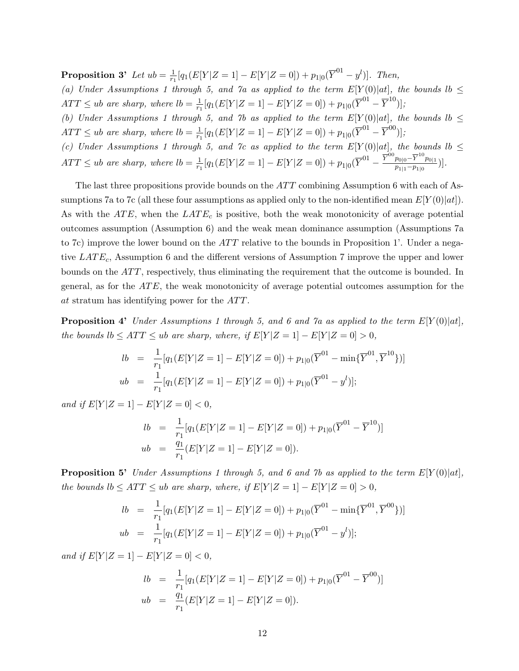**Proposition 3'** Let  $ub = \frac{1}{n}$  $\frac{1}{r_1}[q_1(E[Y|Z=1]-E[Y|Z=0]) + p_{1|0}(\overline{Y}^{01}-y^l)].$  Then,

(a) Under Assumptions 1 through 5, and  $\gamma$  as applied to the term  $E[Y(0)|at]$ , the bounds  $lb \leq$  $ATT \leq ub$  are sharp, where  $lb = \frac{1}{rs}$  $\frac{1}{r_1}[q_1(E[Y|Z=1]-E[Y|Z=0]) + p_{1|0}(\overline{Y}^{01}-\overline{Y}^{10})];$ 

(b) Under Assumptions 1 through 5, and 7b as applied to the term  $E[Y(0)|at]$ , the bounds  $lb \leq$  $ATT \leq ub$  are sharp, where  $lb = \frac{1}{rs}$  $\frac{1}{r_1}[q_1(E[Y|Z=1]-E[Y|Z=0]) + p_{1|0}(\overline{Y}^{01}-\overline{Y}^{00})];$ 

(c) Under Assumptions 1 through 5, and 7c as applied to the term  $E[Y(0)|at]$ , the bounds  $lb \leq$  $ATT \leq ub$  are sharp, where  $lb = \frac{1}{rs}$  $\frac{1}{r_1}[q_1(E[Y|Z=1]-E[Y|Z=0]) + p_{1|0}(\overline{Y}^{01}-\frac{\overline{Y}^{00}p_{0|0}-\overline{Y}^{10}p_{0|1}}{p_{1|1}-p_{1|0}}]$  $\frac{p_{0|0}-1-p_{0|1}}{p_{1|1}-p_{1|0}}\big)\big].$ 

The last three propositions provide bounds on the  $ATT$  combining Assumption 6 with each of Assumptions 7a to 7c (all these four assumptions as applied only to the non-identified mean  $E[Y(0)|at]$ ). As with the  $ATE$ , when the  $LATE<sub>c</sub>$  is positive, both the weak monotonicity of average potential outcomes assumption (Assumption 6) and the weak mean dominance assumption (Assumptions 7a to 7c) improve the lower bound on the  $ATT$  relative to the bounds in Proposition 1'. Under a negative  $LATE_c$ , Assumption 6 and the different versions of Assumption 7 improve the upper and lower bounds on the  $ATT$ , respectively, thus eliminating the requirement that the outcome is bounded. In general, as for the  $ATE$ , the weak monotonicity of average potential outcomes assumption for the at stratum has identifying power for the ATT.

**Proposition 4'** Under Assumptions 1 through 5, and 6 and 7a as applied to the term  $E[Y(0)|at]$ , the bounds  $lb \leq ATT \leq ub$  are sharp, where, if  $E[Y|Z=1] - E[Y|Z=0] > 0$ ,

$$
lb = \frac{1}{r_1} [q_1(E[Y|Z=1] - E[Y|Z=0]) + p_{1|0}(\overline{Y}^{01} - \min{\{\overline{Y}^{01}, \overline{Y}^{10}\}\})]
$$
  

$$
ub = \frac{1}{r_1} [q_1(E[Y|Z=1] - E[Y|Z=0]) + p_{1|0}(\overline{Y}^{01} - y^l)];
$$

and if  $E[Y|Z=1] - E[Y|Z=0] < 0$ ,

$$
lb = \frac{1}{r_1} [q_1(E[Y|Z=1] - E[Y|Z=0]) + p_{1|0}(\overline{Y}^{01} - \overline{Y}^{10})]
$$
  

$$
ub = \frac{q_1}{r_1} (E[Y|Z=1] - E[Y|Z=0]).
$$

**Proposition 5'** Under Assumptions 1 through 5, and 6 and 7b as applied to the term  $E[Y(0)|at]$ , the bounds  $lb \leq ATT \leq ub$  are sharp, where, if  $E[Y|Z=1] - E[Y|Z=0] > 0$ ,

$$
lb = \frac{1}{r_1} [q_1(E[Y|Z=1] - E[Y|Z=0]) + p_{1|0}(\overline{Y}^{01} - \min{\{\overline{Y}^{01}, \overline{Y}^{00}\}\})]
$$
  

$$
ub = \frac{1}{r_1} [q_1(E[Y|Z=1] - E[Y|Z=0]) + p_{1|0}(\overline{Y}^{01} - y^l)];
$$

and if  $E[Y|Z=1] - E[Y|Z=0] < 0$ ,

$$
lb = \frac{1}{r_1} [q_1(E[Y|Z=1] - E[Y|Z=0]) + p_{1|0}(\overline{Y}^{01} - \overline{Y}^{00})]
$$
  
\n
$$
ub = \frac{q_1}{r_1}(E[Y|Z=1] - E[Y|Z=0]).
$$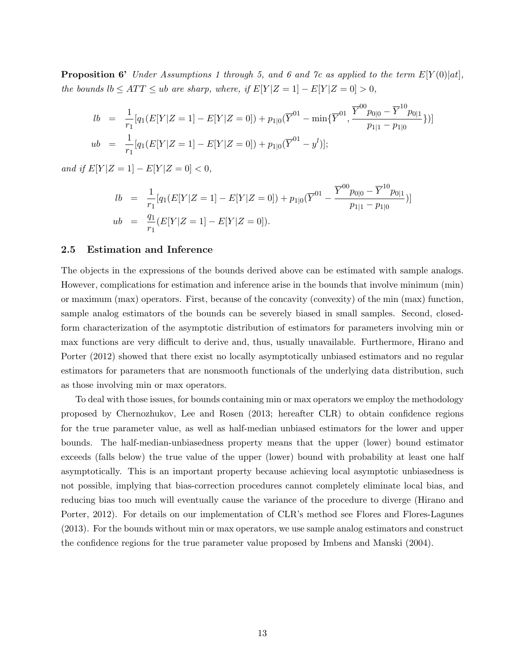**Proposition 6'** Under Assumptions 1 through 5, and 6 and 7c as applied to the term  $E[Y(0)|at]$ , the bounds  $lb \leq ATT \leq ub$  are sharp, where, if  $E[Y|Z=1] - E[Y|Z=0] > 0$ ,

$$
lb = \frac{1}{r_1} [q_1(E[Y|Z=1] - E[Y|Z=0]) + p_{1|0}(\overline{Y}^{01} - \min{\{\overline{Y}^{01}, \frac{\overline{Y}^{00}p_{0|0} - \overline{Y}^{10}p_{0|1}}{p_{1|1} - p_{1|0}}\})]
$$
  
\n
$$
ub = \frac{1}{r_1} [q_1(E[Y|Z=1] - E[Y|Z=0]) + p_{1|0}(\overline{Y}^{01} - y^l)];
$$

and if  $E[Y|Z = 1] - E[Y|Z = 0] < 0$ ,

$$
lb = \frac{1}{r_1} [q_1(E[Y|Z=1] - E[Y|Z=0]) + p_{1|0}(\overline{Y}^{01} - \frac{\overline{Y}^{00} p_{0|0} - \overline{Y}^{10} p_{0|1}}{p_{1|1} - p_{1|0}})]
$$
  
\n
$$
ub = \frac{q_1}{r_1} (E[Y|Z=1] - E[Y|Z=0]).
$$

#### 2.5 Estimation and Inference

The objects in the expressions of the bounds derived above can be estimated with sample analogs. However, complications for estimation and inference arise in the bounds that involve minimum (min) or maximum (max) operators. First, because of the concavity (convexity) of the min (max) function, sample analog estimators of the bounds can be severely biased in small samples. Second, closedform characterization of the asymptotic distribution of estimators for parameters involving min or max functions are very difficult to derive and, thus, usually unavailable. Furthermore, Hirano and Porter (2012) showed that there exist no locally asymptotically unbiased estimators and no regular estimators for parameters that are nonsmooth functionals of the underlying data distribution, such as those involving min or max operators.

To deal with those issues, for bounds containing min or max operators we employ the methodology proposed by Chernozhukov, Lee and Rosen (2013; hereafter CLR) to obtain confidence regions for the true parameter value, as well as half-median unbiased estimators for the lower and upper bounds. The half-median-unbiasedness property means that the upper (lower) bound estimator exceeds (falls below) the true value of the upper (lower) bound with probability at least one half asymptotically. This is an important property because achieving local asymptotic unbiasedness is not possible, implying that bias-correction procedures cannot completely eliminate local bias, and reducing bias too much will eventually cause the variance of the procedure to diverge (Hirano and Porter, 2012). For details on our implementation of CLR's method see Flores and Flores-Lagunes (2013). For the bounds without min or max operators, we use sample analog estimators and construct the confidence regions for the true parameter value proposed by Imbens and Manski (2004).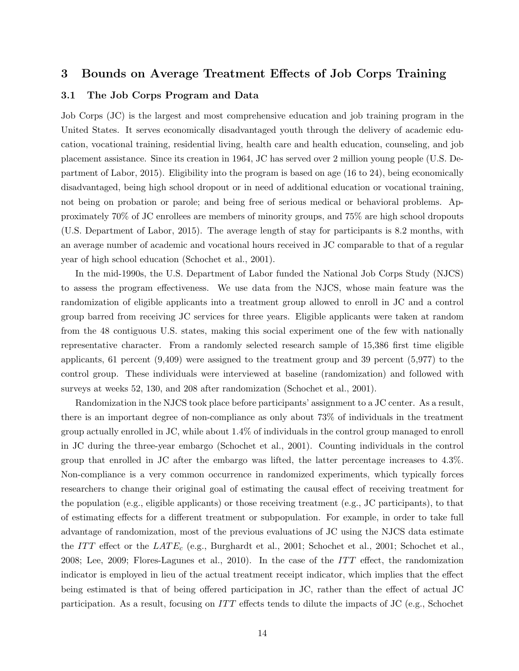# 3 Bounds on Average Treatment Effects of Job Corps Training

## 3.1 The Job Corps Program and Data

Job Corps (JC) is the largest and most comprehensive education and job training program in the United States. It serves economically disadvantaged youth through the delivery of academic education, vocational training, residential living, health care and health education, counseling, and job placement assistance. Since its creation in 1964, JC has served over 2 million young people (U.S. Department of Labor, 2015). Eligibility into the program is based on age (16 to 24), being economically disadvantaged, being high school dropout or in need of additional education or vocational training, not being on probation or parole; and being free of serious medical or behavioral problems. Approximately 70% of JC enrollees are members of minority groups, and 75% are high school dropouts (U.S. Department of Labor, 2015). The average length of stay for participants is 8.2 months, with an average number of academic and vocational hours received in JC comparable to that of a regular year of high school education (Schochet et al., 2001).

In the mid-1990s, the U.S. Department of Labor funded the National Job Corps Study (NJCS) to assess the program effectiveness. We use data from the NJCS, whose main feature was the randomization of eligible applicants into a treatment group allowed to enroll in JC and a control group barred from receiving JC services for three years. Eligible applicants were taken at random from the 48 contiguous U.S. states, making this social experiment one of the few with nationally representative character. From a randomly selected research sample of 15,386 first time eligible applicants, 61 percent (9,409) were assigned to the treatment group and 39 percent (5,977) to the control group. These individuals were interviewed at baseline (randomization) and followed with surveys at weeks 52, 130, and 208 after randomization (Schochet et al., 2001).

Randomization in the NJCS took place before participants' assignment to a JC center. As a result, there is an important degree of non-compliance as only about 73% of individuals in the treatment group actually enrolled in JC, while about 1.4% of individuals in the control group managed to enroll in JC during the three-year embargo (Schochet et al., 2001). Counting individuals in the control group that enrolled in JC after the embargo was lifted, the latter percentage increases to 4.3%. Non-compliance is a very common occurrence in randomized experiments, which typically forces researchers to change their original goal of estimating the causal effect of receiving treatment for the population (e.g., eligible applicants) or those receiving treatment (e.g., JC participants), to that of estimating effects for a different treatment or subpopulation. For example, in order to take full advantage of randomization, most of the previous evaluations of JC using the NJCS data estimate the ITT effect or the  $LATE_c$  (e.g., Burghardt et al., 2001; Schochet et al., 2001; Schochet et al., 2008; Lee, 2009; Flores-Lagunes et al., 2010). In the case of the  $ITT$  effect, the randomization indicator is employed in lieu of the actual treatment receipt indicator, which implies that the effect being estimated is that of being offered participation in JC, rather than the effect of actual JC participation. As a result, focusing on  $ITT$  effects tends to dilute the impacts of JC (e.g., Schochet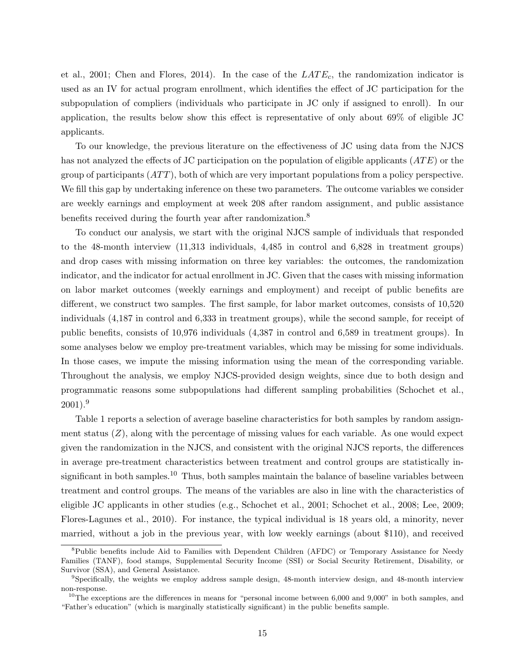et al., 2001; Chen and Flores, 2014). In the case of the  $LATE_c$ , the randomization indicator is used as an IV for actual program enrollment, which identifies the effect of JC participation for the subpopulation of compliers (individuals who participate in JC only if assigned to enroll). In our application, the results below show this effect is representative of only about 69% of eligible JC applicants.

To our knowledge, the previous literature on the effectiveness of JC using data from the NJCS has not analyzed the effects of JC participation on the population of eligible applicants  $(ATE)$  or the group of participants  $(ATT)$ , both of which are very important populations from a policy perspective. We fill this gap by undertaking inference on these two parameters. The outcome variables we consider are weekly earnings and employment at week 208 after random assignment, and public assistance benefits received during the fourth year after randomization.<sup>8</sup>

To conduct our analysis, we start with the original NJCS sample of individuals that responded to the 48-month interview (11,313 individuals, 4,485 in control and 6,828 in treatment groups) and drop cases with missing information on three key variables: the outcomes, the randomization indicator, and the indicator for actual enrollment in JC. Given that the cases with missing information on labor market outcomes (weekly earnings and employment) and receipt of public benefits are different, we construct two samples. The first sample, for labor market outcomes, consists of 10,520 individuals (4,187 in control and 6,333 in treatment groups), while the second sample, for receipt of public benefits, consists of 10,976 individuals (4,387 in control and 6,589 in treatment groups). In some analyses below we employ pre-treatment variables, which may be missing for some individuals. In those cases, we impute the missing information using the mean of the corresponding variable. Throughout the analysis, we employ NJCS-provided design weights, since due to both design and programmatic reasons some subpopulations had different sampling probabilities (Schochet et al.,  $2001$ ).<sup>9</sup>

Table 1 reports a selection of average baseline characteristics for both samples by random assignment status  $(Z)$ , along with the percentage of missing values for each variable. As one would expect given the randomization in the NJCS, and consistent with the original NJCS reports, the differences in average pre-treatment characteristics between treatment and control groups are statistically insignificant in both samples.<sup>10</sup> Thus, both samples maintain the balance of baseline variables between treatment and control groups. The means of the variables are also in line with the characteristics of eligible JC applicants in other studies (e.g., Schochet et al., 2001; Schochet et al., 2008; Lee, 2009; Flores-Lagunes et al., 2010). For instance, the typical individual is 18 years old, a minority, never married, without a job in the previous year, with low weekly earnings (about \$110), and received

<sup>&</sup>lt;sup>8</sup>Public benefits include Aid to Families with Dependent Children (AFDC) or Temporary Assistance for Needy Families (TANF), food stamps, Supplemental Security Income (SSI) or Social Security Retirement, Disability, or Survivor (SSA), and General Assistance.

<sup>9</sup>Specifically, the weights we employ address sample design, 48-month interview design, and 48-month interview non-response.

<sup>&</sup>lt;sup>10</sup>The exceptions are the differences in means for "personal income between 6,000 and 9,000" in both samples, and "Father's education" (which is marginally statistically significant) in the public benefits sample.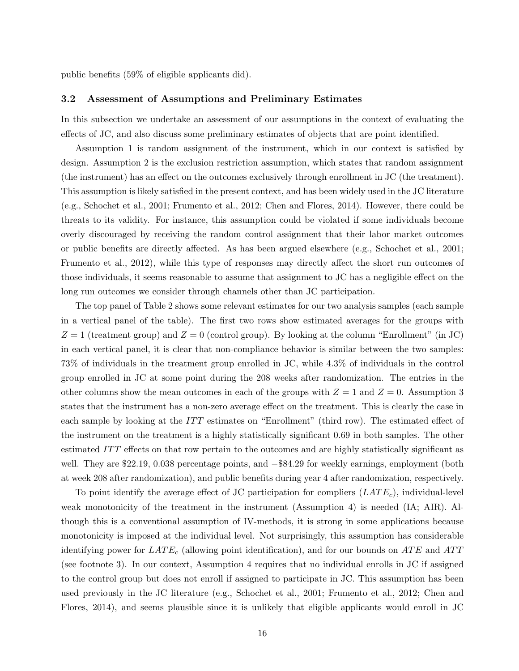public benefits (59% of eligible applicants did).

#### 3.2 Assessment of Assumptions and Preliminary Estimates

In this subsection we undertake an assessment of our assumptions in the context of evaluating the effects of JC, and also discuss some preliminary estimates of objects that are point identified.

Assumption 1 is random assignment of the instrument, which in our context is satisfied by design. Assumption 2 is the exclusion restriction assumption, which states that random assignment (the instrument) has an effect on the outcomes exclusively through enrollment in JC (the treatment). This assumption is likely satisfied in the present context, and has been widely used in the JC literature (e.g., Schochet et al., 2001; Frumento et al., 2012; Chen and Flores, 2014). However, there could be threats to its validity. For instance, this assumption could be violated if some individuals become overly discouraged by receiving the random control assignment that their labor market outcomes or public benefits are directly affected. As has been argued elsewhere (e.g., Schochet et al., 2001; Frumento et al., 2012), while this type of responses may directly affect the short run outcomes of those individuals, it seems reasonable to assume that assignment to JC has a negligible effect on the long run outcomes we consider through channels other than JC participation.

The top panel of Table 2 shows some relevant estimates for our two analysis samples (each sample in a vertical panel of the table). The first two rows show estimated averages for the groups with  $Z = 1$  (treatment group) and  $Z = 0$  (control group). By looking at the column "Enrollment" (in JC) in each vertical panel, it is clear that non-compliance behavior is similar between the two samples: 73% of individuals in the treatment group enrolled in JC, while 4.3% of individuals in the control group enrolled in JC at some point during the 208 weeks after randomization. The entries in the other columns show the mean outcomes in each of the groups with  $Z = 1$  and  $Z = 0$ . Assumption 3 states that the instrument has a non-zero average effect on the treatment. This is clearly the case in each sample by looking at the  $ITT$  estimates on "Enrollment" (third row). The estimated effect of the instrument on the treatment is a highly statistically significant 0.69 in both samples. The other estimated ITT effects on that row pertain to the outcomes and are highly statistically significant as well. They are \$22.19, 0.038 percentage points, and −\$84.29 for weekly earnings, employment (both at week 208 after randomization), and public benefits during year 4 after randomization, respectively.

To point identify the average effect of JC participation for compliers  $(LATE_c)$ , individual-level weak monotonicity of the treatment in the instrument (Assumption 4) is needed (IA; AIR). Although this is a conventional assumption of IV-methods, it is strong in some applications because monotonicity is imposed at the individual level. Not surprisingly, this assumption has considerable identifying power for  $LATE_c$  (allowing point identification), and for our bounds on  $ATE$  and  $ATT$ (see footnote 3). In our context, Assumption 4 requires that no individual enrolls in JC if assigned to the control group but does not enroll if assigned to participate in JC. This assumption has been used previously in the JC literature (e.g., Schochet et al., 2001; Frumento et al., 2012; Chen and Flores, 2014), and seems plausible since it is unlikely that eligible applicants would enroll in JC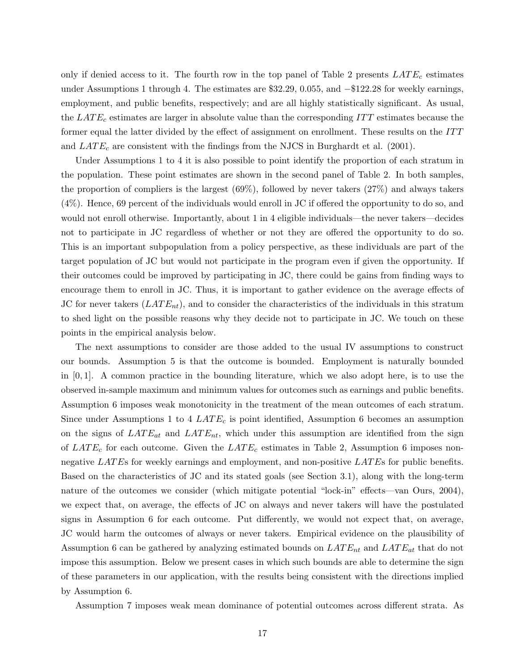only if denied access to it. The fourth row in the top panel of Table 2 presents  $LATE_c$  estimates under Assumptions 1 through 4. The estimates are \$32.29, 0.055, and −\$122.28 for weekly earnings, employment, and public benefits, respectively; and are all highly statistically significant. As usual, the  $LATE_c$  estimates are larger in absolute value than the corresponding  $ITT$  estimates because the former equal the latter divided by the effect of assignment on enrollment. These results on the ITT and  $LATE_c$  are consistent with the findings from the NJCS in Burghardt et al. (2001).

Under Assumptions 1 to 4 it is also possible to point identify the proportion of each stratum in the population. These point estimates are shown in the second panel of Table 2. In both samples, the proportion of compliers is the largest (69%), followed by never takers (27%) and always takers (4%). Hence, 69 percent of the individuals would enroll in JC if offered the opportunity to do so, and would not enroll otherwise. Importantly, about 1 in 4 eligible individuals—the never takers—decides not to participate in JC regardless of whether or not they are offered the opportunity to do so. This is an important subpopulation from a policy perspective, as these individuals are part of the target population of JC but would not participate in the program even if given the opportunity. If their outcomes could be improved by participating in JC, there could be gains from finding ways to encourage them to enroll in JC. Thus, it is important to gather evidence on the average effects of JC for never takers  $(LATE_{nt})$ , and to consider the characteristics of the individuals in this stratum to shed light on the possible reasons why they decide not to participate in JC. We touch on these points in the empirical analysis below.

The next assumptions to consider are those added to the usual IV assumptions to construct our bounds. Assumption 5 is that the outcome is bounded. Employment is naturally bounded in [0, 1]. A common practice in the bounding literature, which we also adopt here, is to use the observed in-sample maximum and minimum values for outcomes such as earnings and public benefits. Assumption 6 imposes weak monotonicity in the treatment of the mean outcomes of each stratum. Since under Assumptions 1 to 4  $LATE_c$  is point identified, Assumption 6 becomes an assumption on the signs of  $LATE_{at}$  and  $LATE_{nt}$ , which under this assumption are identified from the sign of  $LATE_c$  for each outcome. Given the  $LATE_c$  estimates in Table 2, Assumption 6 imposes nonnegative LATEs for weekly earnings and employment, and non-positive LATEs for public benefits. Based on the characteristics of JC and its stated goals (see Section 3.1), along with the long-term nature of the outcomes we consider (which mitigate potential "lock-in" effects—van Ours, 2004), we expect that, on average, the effects of JC on always and never takers will have the postulated signs in Assumption 6 for each outcome. Put differently, we would not expect that, on average, JC would harm the outcomes of always or never takers. Empirical evidence on the plausibility of Assumption 6 can be gathered by analyzing estimated bounds on  $LATE_{nt}$  and  $LATE_{at}$  that do not impose this assumption. Below we present cases in which such bounds are able to determine the sign of these parameters in our application, with the results being consistent with the directions implied by Assumption 6.

Assumption 7 imposes weak mean dominance of potential outcomes across different strata. As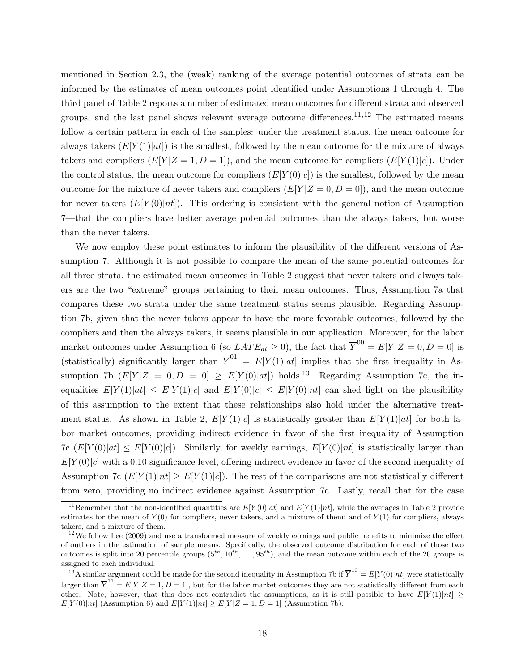mentioned in Section 2.3, the (weak) ranking of the average potential outcomes of strata can be informed by the estimates of mean outcomes point identified under Assumptions 1 through 4. The third panel of Table 2 reports a number of estimated mean outcomes for different strata and observed groups, and the last panel shows relevant average outcome differences.<sup>11,12</sup> The estimated means follow a certain pattern in each of the samples: under the treatment status, the mean outcome for always takers  $(E[Y(1)|at])$  is the smallest, followed by the mean outcome for the mixture of always takers and compliers  $(E[Y|Z=1, D=1])$ , and the mean outcome for compliers  $(E[Y(1)|c])$ . Under the control status, the mean outcome for compliers  $(E[Y(0)|c])$  is the smallest, followed by the mean outcome for the mixture of never takers and compliers  $(E[Y|Z=0,D=0])$ , and the mean outcome for never takers  $(E[Y(0)|nt])$ . This ordering is consistent with the general notion of Assumption 7—that the compliers have better average potential outcomes than the always takers, but worse than the never takers.

We now employ these point estimates to inform the plausibility of the different versions of Assumption 7. Although it is not possible to compare the mean of the same potential outcomes for all three strata, the estimated mean outcomes in Table 2 suggest that never takers and always takers are the two "extreme" groups pertaining to their mean outcomes. Thus, Assumption 7a that compares these two strata under the same treatment status seems plausible. Regarding Assumption 7b, given that the never takers appear to have the more favorable outcomes, followed by the compliers and then the always takers, it seems plausible in our application. Moreover, for the labor market outcomes under Assumption 6 (so  $LATE_{at} \ge 0$ ), the fact that  $\overline{Y}^{00} = E[Y|Z=0, D=0]$  is (statistically) significantly larger than  $\overline{Y}^{01} = E[Y(1)|at]$  implies that the first inequality in Assumption 7b  $(E[Y|Z = 0, D = 0] \geq E[Y(0)|at])$  holds.<sup>13</sup> Regarding Assumption 7c, the inequalities  $E[Y(1)|at] \leq E[Y(1)|c]$  and  $E[Y(0)|c] \leq E[Y(0)|nt]$  can shed light on the plausibility of this assumption to the extent that these relationships also hold under the alternative treatment status. As shown in Table 2,  $E[Y(1)|c]$  is statistically greater than  $E[Y(1)|at]$  for both labor market outcomes, providing indirect evidence in favor of the first inequality of Assumption 7c  $(E[Y(0)|at] \leq E[Y(0)|c]$ . Similarly, for weekly earnings,  $E[Y(0)|at]$  is statistically larger than  $E[Y(0)|c]$  with a 0.10 significance level, offering indirect evidence in favor of the second inequality of Assumption 7c  $(E[Y(1)|nt] \ge E[Y(1)|c]$ . The rest of the comparisons are not statistically different from zero, providing no indirect evidence against Assumption 7c. Lastly, recall that for the case

<sup>&</sup>lt;sup>11</sup>Remember that the non-identified quantities are  $E[Y(0)|at]$  and  $E[Y(1)|nt]$ , while the averages in Table 2 provide estimates for the mean of  $Y(0)$  for compliers, never takers, and a mixture of them; and of  $Y(1)$  for compliers, always takers, and a mixture of them.

 $12$ We follow Lee (2009) and use a transformed measure of weekly earnings and public benefits to minimize the effect of outliers in the estimation of sample means. Specifically, the observed outcome distribution for each of those two outcomes is split into 20 percentile groups  $(5^{th}, 10^{th}, \ldots, 95^{th})$ , and the mean outcome within each of the 20 groups is assigned to each individual.

<sup>&</sup>lt;sup>13</sup>A similar argument could be made for the second inequality in Assumption 7b if  $\overline{Y}^{10} = E[Y(0)|nt]$  were statistically larger than  $\overline{Y}^{11} = E[Y|Z=1, D=1]$ , but for the labor market outcomes they are not statistically different from each other. Note, however, that this does not contradict the assumptions, as it is still possible to have  $E[Y(1)|nt] \ge$  $E[Y(0)|nt]$  (Assumption 6) and  $E[Y(1)|nt] \geq E[Y|Z=1, D=1]$  (Assumption 7b).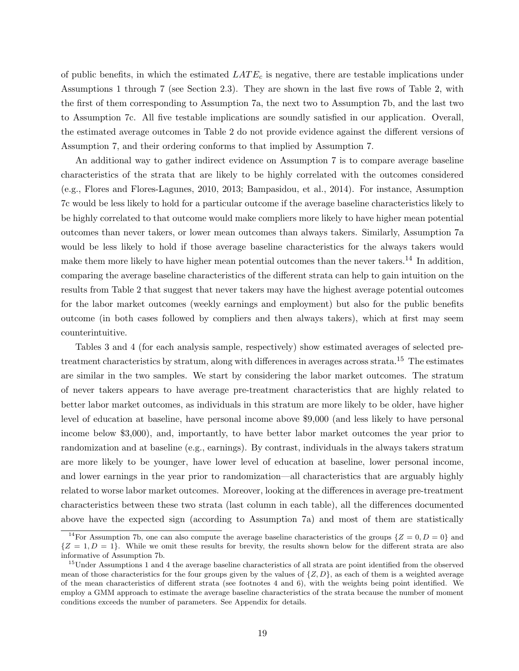of public benefits, in which the estimated  $LATE_c$  is negative, there are testable implications under Assumptions 1 through 7 (see Section 2.3). They are shown in the last five rows of Table 2, with the first of them corresponding to Assumption 7a, the next two to Assumption 7b, and the last two to Assumption 7c. All five testable implications are soundly satisfied in our application. Overall, the estimated average outcomes in Table 2 do not provide evidence against the different versions of Assumption 7, and their ordering conforms to that implied by Assumption 7.

An additional way to gather indirect evidence on Assumption 7 is to compare average baseline characteristics of the strata that are likely to be highly correlated with the outcomes considered (e.g., Flores and Flores-Lagunes, 2010, 2013; Bampasidou, et al., 2014). For instance, Assumption 7c would be less likely to hold for a particular outcome if the average baseline characteristics likely to be highly correlated to that outcome would make compliers more likely to have higher mean potential outcomes than never takers, or lower mean outcomes than always takers. Similarly, Assumption 7a would be less likely to hold if those average baseline characteristics for the always takers would make them more likely to have higher mean potential outcomes than the never takers.<sup>14</sup> In addition, comparing the average baseline characteristics of the different strata can help to gain intuition on the results from Table 2 that suggest that never takers may have the highest average potential outcomes for the labor market outcomes (weekly earnings and employment) but also for the public benefits outcome (in both cases followed by compliers and then always takers), which at first may seem counterintuitive.

Tables 3 and 4 (for each analysis sample, respectively) show estimated averages of selected pretreatment characteristics by stratum, along with differences in averages across strata.<sup>15</sup> The estimates are similar in the two samples. We start by considering the labor market outcomes. The stratum of never takers appears to have average pre-treatment characteristics that are highly related to better labor market outcomes, as individuals in this stratum are more likely to be older, have higher level of education at baseline, have personal income above \$9,000 (and less likely to have personal income below \$3,000), and, importantly, to have better labor market outcomes the year prior to randomization and at baseline (e.g., earnings). By contrast, individuals in the always takers stratum are more likely to be younger, have lower level of education at baseline, lower personal income, and lower earnings in the year prior to randomization—all characteristics that are arguably highly related to worse labor market outcomes. Moreover, looking at the differences in average pre-treatment characteristics between these two strata (last column in each table), all the differences documented above have the expected sign (according to Assumption 7a) and most of them are statistically

<sup>&</sup>lt;sup>14</sup>For Assumption 7b, one can also compute the average baseline characteristics of the groups  $\{Z = 0, D = 0\}$  and  ${Z = 1, D = 1}$ . While we omit these results for brevity, the results shown below for the different strata are also informative of Assumption 7b.

<sup>&</sup>lt;sup>15</sup>Under Assumptions 1 and 4 the average baseline characteristics of all strata are point identified from the observed mean of those characteristics for the four groups given by the values of  $\{Z,D\}$ , as each of them is a weighted average of the mean characteristics of different strata (see footnotes 4 and 6), with the weights being point identified. We employ a GMM approach to estimate the average baseline characteristics of the strata because the number of moment conditions exceeds the number of parameters. See Appendix for details.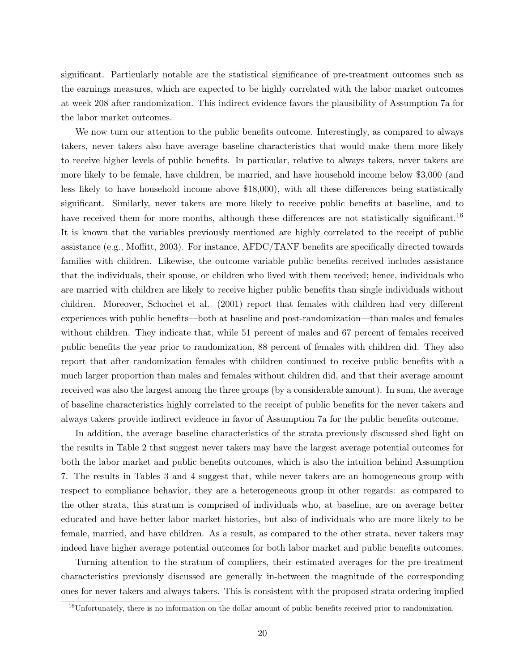significant. Particularly notable are the statistical significance of pre-treatment outcomes such as the earnings measures, which are expected to be highly correlated with the labor market outcomes at week 208 after randomization. This indirect evidence favors the plausibility of Assumption 7a for the labor market outcomes.

We now turn our attention to the public benefits outcome. Interestingly, as compared to always takers, never takers also have average baseline characteristics that would make them more likely to receive higher levels of public benefits. In particular, relative to always takers, never takers are more likely to be female, have children, be married, and have household income below \$3,000 (and less likely to have household income above \$18,000), with all these differences being statistically significant. Similarly, never takers are more likely to receive public benefits at baseline, and to have received them for more months, although these differences are not statistically significant.<sup>16</sup> It is known that the variables previously mentioned are highly correlated to the receipt of public assistance (e.g., Moffitt, 2003). For instance, AFDC/TANF benefits are specifically directed towards families with children. Likewise, the outcome variable public benefits received includes assistance that the individuals, their spouse, or children who lived with them received; hence, individuals who are married with children are likely to receive higher public benefits than single individuals without children. Moreover, Schochet et al. (2001) report that females with children had very different experiences with public benefits—both at baseline and post-randomization—than males and females without children. They indicate that, while 51 percent of males and 67 percent of females received public benefits the year prior to randomization, 88 percent of females with children did. They also report that after randomization females with children continued to receive public benefits with a much larger proportion than males and females without children did, and that their average amount received was also the largest among the three groups (by a considerable amount). In sum, the average of baseline characteristics highly correlated to the receipt of public benefits for the never takers and always takers provide indirect evidence in favor of Assumption 7a for the public benefits outcome.

In addition, the average baseline characteristics of the strata previously discussed shed light on the results in Table 2 that suggest never takers may have the largest average potential outcomes for both the labor market and public benefits outcomes, which is also the intuition behind Assumption 7. The results in Tables 3 and 4 suggest that, while never takers are an homogeneous group with respect to compliance behavior, they are a heterogeneous group in other regards: as compared to the other strata, this stratum is comprised of individuals who, at baseline, are on average better educated and have better labor market histories, but also of individuals who are more likely to be female, married, and have children. As a result, as compared to the other strata, never takers may indeed have higher average potential outcomes for both labor market and public benefits outcomes.

Turning attention to the stratum of compliers, their estimated averages for the pre-treatment characteristics previously discussed are generally in-between the magnitude of the corresponding ones for never takers and always takers. This is consistent with the proposed strata ordering implied

<sup>&</sup>lt;sup>16</sup>Unfortunately, there is no information on the dollar amount of public benefits received prior to randomization.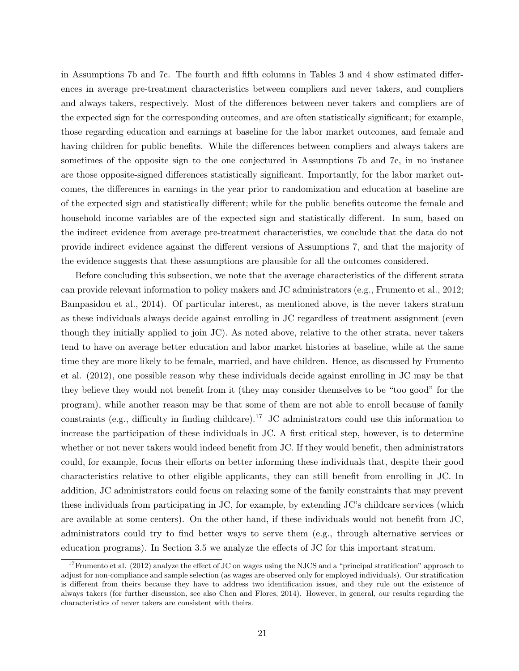in Assumptions 7b and 7c. The fourth and fifth columns in Tables 3 and 4 show estimated differences in average pre-treatment characteristics between compliers and never takers, and compliers and always takers, respectively. Most of the differences between never takers and compliers are of the expected sign for the corresponding outcomes, and are often statistically significant; for example, those regarding education and earnings at baseline for the labor market outcomes, and female and having children for public benefits. While the differences between compliers and always takers are sometimes of the opposite sign to the one conjectured in Assumptions 7b and 7c, in no instance are those opposite-signed differences statistically significant. Importantly, for the labor market outcomes, the differences in earnings in the year prior to randomization and education at baseline are of the expected sign and statistically different; while for the public benefits outcome the female and household income variables are of the expected sign and statistically different. In sum, based on the indirect evidence from average pre-treatment characteristics, we conclude that the data do not provide indirect evidence against the different versions of Assumptions 7, and that the majority of the evidence suggests that these assumptions are plausible for all the outcomes considered.

Before concluding this subsection, we note that the average characteristics of the different strata can provide relevant information to policy makers and JC administrators (e.g., Frumento et al., 2012; Bampasidou et al., 2014). Of particular interest, as mentioned above, is the never takers stratum as these individuals always decide against enrolling in JC regardless of treatment assignment (even though they initially applied to join JC). As noted above, relative to the other strata, never takers tend to have on average better education and labor market histories at baseline, while at the same time they are more likely to be female, married, and have children. Hence, as discussed by Frumento et al. (2012), one possible reason why these individuals decide against enrolling in JC may be that they believe they would not benefit from it (they may consider themselves to be "too good" for the program), while another reason may be that some of them are not able to enroll because of family constraints (e.g., difficulty in finding childcare).<sup>17</sup> JC administrators could use this information to increase the participation of these individuals in JC. A first critical step, however, is to determine whether or not never takers would indeed benefit from JC. If they would benefit, then administrators could, for example, focus their efforts on better informing these individuals that, despite their good characteristics relative to other eligible applicants, they can still benefit from enrolling in JC. In addition, JC administrators could focus on relaxing some of the family constraints that may prevent these individuals from participating in JC, for example, by extending JC's childcare services (which are available at some centers). On the other hand, if these individuals would not benefit from JC, administrators could try to find better ways to serve them (e.g., through alternative services or education programs). In Section 3.5 we analyze the effects of JC for this important stratum.

 $17$ Frumento et al. (2012) analyze the effect of JC on wages using the NJCS and a "principal stratification" approach to adjust for non-compliance and sample selection (as wages are observed only for employed individuals). Our stratification is different from theirs because they have to address two identification issues, and they rule out the existence of always takers (for further discussion, see also Chen and Flores, 2014). However, in general, our results regarding the characteristics of never takers are consistent with theirs.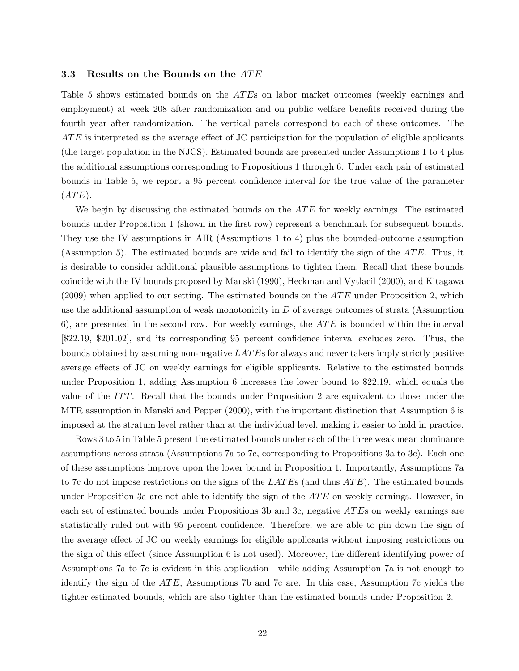## 3.3 Results on the Bounds on the ATE

Table 5 shows estimated bounds on the ATEs on labor market outcomes (weekly earnings and employment) at week 208 after randomization and on public welfare benefits received during the fourth year after randomization. The vertical panels correspond to each of these outcomes. The ATE is interpreted as the average effect of JC participation for the population of eligible applicants (the target population in the NJCS). Estimated bounds are presented under Assumptions 1 to 4 plus the additional assumptions corresponding to Propositions 1 through 6. Under each pair of estimated bounds in Table 5, we report a 95 percent confidence interval for the true value of the parameter  $(ATE).$ 

We begin by discussing the estimated bounds on the  $ATE$  for weekly earnings. The estimated bounds under Proposition 1 (shown in the first row) represent a benchmark for subsequent bounds. They use the IV assumptions in AIR (Assumptions 1 to 4) plus the bounded-outcome assumption (Assumption 5). The estimated bounds are wide and fail to identify the sign of the  $ATE$ . Thus, it is desirable to consider additional plausible assumptions to tighten them. Recall that these bounds coincide with the IV bounds proposed by Manski (1990), Heckman and Vytlacil (2000), and Kitagawa  $(2009)$  when applied to our setting. The estimated bounds on the  $ATE$  under Proposition 2, which use the additional assumption of weak monotonicity in  $D$  of average outcomes of strata (Assumption 6), are presented in the second row. For weekly earnings, the  $ATE$  is bounded within the interval [\$22.19, \$201.02], and its corresponding 95 percent confidence interval excludes zero. Thus, the bounds obtained by assuming non-negative LAT Es for always and never takers imply strictly positive average effects of JC on weekly earnings for eligible applicants. Relative to the estimated bounds under Proposition 1, adding Assumption 6 increases the lower bound to \$22.19, which equals the value of the ITT. Recall that the bounds under Proposition 2 are equivalent to those under the MTR assumption in Manski and Pepper (2000), with the important distinction that Assumption 6 is imposed at the stratum level rather than at the individual level, making it easier to hold in practice.

Rows 3 to 5 in Table 5 present the estimated bounds under each of the three weak mean dominance assumptions across strata (Assumptions 7a to 7c, corresponding to Propositions 3a to 3c). Each one of these assumptions improve upon the lower bound in Proposition 1. Importantly, Assumptions 7a to 7c do not impose restrictions on the signs of the  $LATE$  (and thus  $ATE$ ). The estimated bounds under Proposition 3a are not able to identify the sign of the  $ATE$  on weekly earnings. However, in each set of estimated bounds under Propositions 3b and 3c, negative ATEs on weekly earnings are statistically ruled out with 95 percent confidence. Therefore, we are able to pin down the sign of the average effect of JC on weekly earnings for eligible applicants without imposing restrictions on the sign of this effect (since Assumption 6 is not used). Moreover, the different identifying power of Assumptions 7a to 7c is evident in this application—while adding Assumption 7a is not enough to identify the sign of the  $ATE$ , Assumptions 7b and 7c are. In this case, Assumption 7c yields the tighter estimated bounds, which are also tighter than the estimated bounds under Proposition 2.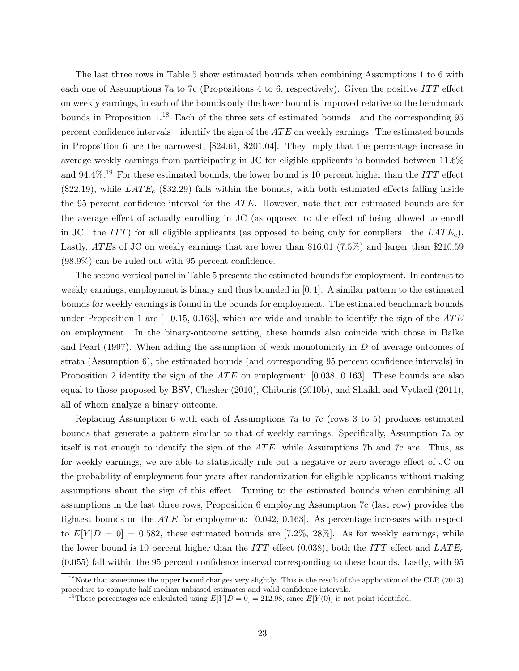The last three rows in Table 5 show estimated bounds when combining Assumptions 1 to 6 with each one of Assumptions 7a to 7c (Propositions 4 to 6, respectively). Given the positive ITT effect on weekly earnings, in each of the bounds only the lower bound is improved relative to the benchmark bounds in Proposition 1.<sup>18</sup> Each of the three sets of estimated bounds—and the corresponding 95 percent confidence intervals—identify the sign of the AT E on weekly earnings. The estimated bounds in Proposition 6 are the narrowest, [\$24.61, \$201.04]. They imply that the percentage increase in average weekly earnings from participating in JC for eligible applicants is bounded between 11.6% and 94.4%.<sup>19</sup> For these estimated bounds, the lower bound is 10 percent higher than the ITT effect (\$22.19), while  $LATE_c$  (\$32.29) falls within the bounds, with both estimated effects falling inside the 95 percent confidence interval for the ATE. However, note that our estimated bounds are for the average effect of actually enrolling in JC (as opposed to the effect of being allowed to enroll in JC—the ITT) for all eligible applicants (as opposed to being only for compliers—the  $LATE<sub>c</sub>$ ). Lastly, ATEs of JC on weekly earnings that are lower than \$16.01 (7.5%) and larger than \$210.59 (98.9%) can be ruled out with 95 percent confidence.

The second vertical panel in Table 5 presents the estimated bounds for employment. In contrast to weekly earnings, employment is binary and thus bounded in  $[0, 1]$ . A similar pattern to the estimated bounds for weekly earnings is found in the bounds for employment. The estimated benchmark bounds under Proposition 1 are  $[-0.15, 0.163]$ , which are wide and unable to identify the sign of the ATE on employment. In the binary-outcome setting, these bounds also coincide with those in Balke and Pearl (1997). When adding the assumption of weak monotonicity in D of average outcomes of strata (Assumption 6), the estimated bounds (and corresponding 95 percent confidence intervals) in Proposition 2 identify the sign of the  $ATE$  on employment: [0.038, 0.163]. These bounds are also equal to those proposed by BSV, Chesher (2010), Chiburis (2010b), and Shaikh and Vytlacil (2011), all of whom analyze a binary outcome.

Replacing Assumption 6 with each of Assumptions 7a to 7c (rows 3 to 5) produces estimated bounds that generate a pattern similar to that of weekly earnings. Specifically, Assumption 7a by itself is not enough to identify the sign of the  $ATE$ , while Assumptions 7b and 7c are. Thus, as for weekly earnings, we are able to statistically rule out a negative or zero average effect of JC on the probability of employment four years after randomization for eligible applicants without making assumptions about the sign of this effect. Turning to the estimated bounds when combining all assumptions in the last three rows, Proposition 6 employing Assumption 7c (last row) provides the tightest bounds on the  $ATE$  for employment: [0.042, 0.163]. As percentage increases with respect to  $E[Y|D = 0] = 0.582$ , these estimated bounds are [7.2\%, 28\%]. As for weekly earnings, while the lower bound is 10 percent higher than the ITT effect (0.038), both the ITT effect and  $LATE_c$ (0.055) fall within the 95 percent confidence interval corresponding to these bounds. Lastly, with 95

<sup>&</sup>lt;sup>18</sup>Note that sometimes the upper bound changes very slightly. This is the result of the application of the CLR (2013) procedure to compute half-median unbiased estimates and valid confidence intervals.

<sup>&</sup>lt;sup>19</sup>These percentages are calculated using  $E[Y|D=0] = 212.98$ , since  $E[Y(0)]$  is not point identified.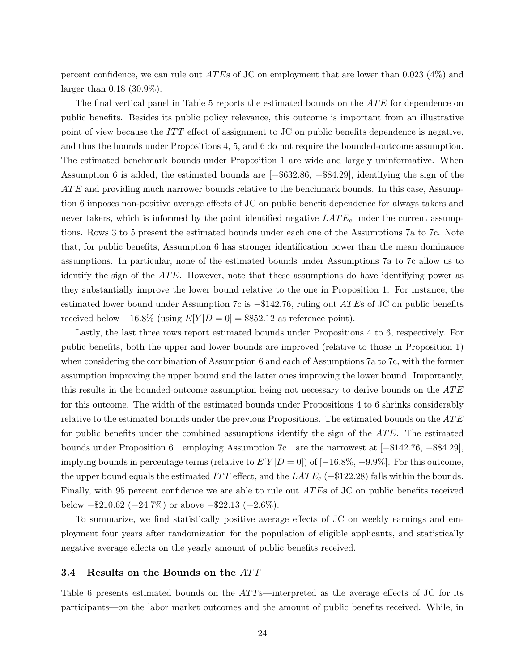percent confidence, we can rule out *ATEs* of JC on employment that are lower than 0.023 (4%) and larger than 0.18 (30.9%).

The final vertical panel in Table 5 reports the estimated bounds on the ATE for dependence on public benefits. Besides its public policy relevance, this outcome is important from an illustrative point of view because the ITT effect of assignment to JC on public benefits dependence is negative, and thus the bounds under Propositions 4, 5, and 6 do not require the bounded-outcome assumption. The estimated benchmark bounds under Proposition 1 are wide and largely uninformative. When Assumption 6 is added, the estimated bounds are [−\$632.86, −\$84.29], identifying the sign of the  $ATE$  and providing much narrower bounds relative to the benchmark bounds. In this case, Assumption 6 imposes non-positive average effects of JC on public benefit dependence for always takers and never takers, which is informed by the point identified negative  $LATE_c$  under the current assumptions. Rows 3 to 5 present the estimated bounds under each one of the Assumptions 7a to 7c. Note that, for public benefits, Assumption 6 has stronger identification power than the mean dominance assumptions. In particular, none of the estimated bounds under Assumptions 7a to 7c allow us to identify the sign of the  $ATE$ . However, note that these assumptions do have identifying power as they substantially improve the lower bound relative to the one in Proposition 1. For instance, the estimated lower bound under Assumption 7c is  $-142.76$ , ruling out ATEs of JC on public benefits received below  $-16.8\%$  (using  $E[Y|D=0] = $852.12$  as reference point).

Lastly, the last three rows report estimated bounds under Propositions 4 to 6, respectively. For public benefits, both the upper and lower bounds are improved (relative to those in Proposition 1) when considering the combination of Assumption 6 and each of Assumptions 7a to 7c, with the former assumption improving the upper bound and the latter ones improving the lower bound. Importantly, this results in the bounded-outcome assumption being not necessary to derive bounds on the  $ATE$ for this outcome. The width of the estimated bounds under Propositions 4 to 6 shrinks considerably relative to the estimated bounds under the previous Propositions. The estimated bounds on the ATE for public benefits under the combined assumptions identify the sign of the  $ATE$ . The estimated bounds under Proposition 6—employing Assumption 7c—are the narrowest at [−\$142.76, −\$84.29], implying bounds in percentage terms (relative to  $E[Y|D=0]$ ) of [−16.8%, −9.9%]. For this outcome, the upper bound equals the estimated ITT effect, and the  $LATE_c$  (−\$122.28) falls within the bounds. Finally, with 95 percent confidence we are able to rule out *ATE*s of JC on public benefits received below  $-210.62$  ( $-24.7\%$ ) or above  $-22.13$  ( $-2.6\%$ ).

To summarize, we find statistically positive average effects of JC on weekly earnings and employment four years after randomization for the population of eligible applicants, and statistically negative average effects on the yearly amount of public benefits received.

## 3.4 Results on the Bounds on the ATT

Table 6 presents estimated bounds on the  $ATT$ s—interpreted as the average effects of JC for its participants—on the labor market outcomes and the amount of public benefits received. While, in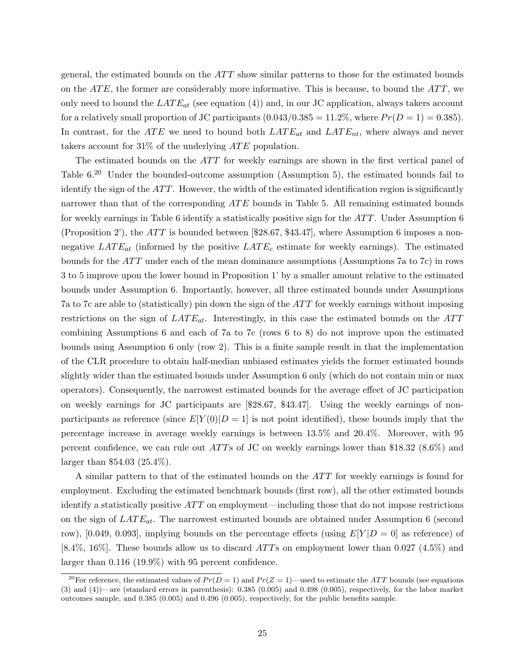general, the estimated bounds on the  $ATT$  show similar patterns to those for the estimated bounds on the  $ATE$ , the former are considerably more informative. This is because, to bound the  $ATT$ , we only need to bound the  $LATE_{at}$  (see equation (4)) and, in our JC application, always takers account for a relatively small proportion of JC participants  $(0.043/0.385 = 11.2\%$ , where  $Pr(D = 1) = 0.385$ . In contrast, for the ATE we need to bound both  $LATE_{at}$  and  $LATE_{nt}$ , where always and never takers account for  $31\%$  of the underlying  $ATE$  population.

The estimated bounds on the  $ATT$  for weekly earnings are shown in the first vertical panel of Table 6.<sup>20</sup> Under the bounded-outcome assumption (Assumption 5), the estimated bounds fail to identify the sign of the  $ATT$ . However, the width of the estimated identification region is significantly narrower than that of the corresponding  $ATE$  bounds in Table 5. All remaining estimated bounds for weekly earnings in Table 6 identify a statistically positive sign for the  $ATT$ . Under Assumption 6 (Proposition 2'), the ATT is bounded between [\$28.67, \$43.47], where Assumption 6 imposes a nonnegative  $LATE_{at}$  (informed by the positive  $LATE_c$  estimate for weekly earnings). The estimated bounds for the  $ATT$  under each of the mean dominance assumptions (Assumptions 7a to 7c) in rows 3 to 5 improve upon the lower bound in Proposition 1' by a smaller amount relative to the estimated bounds under Assumption 6. Importantly, however, all three estimated bounds under Assumptions 7a to 7c are able to (statistically) pin down the sign of the  $ATT$  for weekly earnings without imposing restrictions on the sign of  $LATE_{at}$ . Interestingly, in this case the estimated bounds on the  $ATT$ combining Assumptions 6 and each of 7a to 7c (rows 6 to 8) do not improve upon the estimated bounds using Assumption 6 only (row 2). This is a finite sample result in that the implementation of the CLR procedure to obtain half-median unbiased estimates yields the former estimated bounds slightly wider than the estimated bounds under Assumption 6 only (which do not contain min or max operators). Consequently, the narrowest estimated bounds for the average effect of JC participation on weekly earnings for JC participants are [\$28.67, \$43.47]. Using the weekly earnings of nonparticipants as reference (since  $E[Y(0)|D=1]$  is not point identified), these bounds imply that the percentage increase in average weekly earnings is between 13.5% and 20.4%. Moreover, with 95 percent confidence, we can rule out  $ATTs$  of JC on weekly earnings lower than \$18.32 (8.6%) and larger than \$54.03 (25.4%).

A similar pattern to that of the estimated bounds on the  $ATT$  for weekly earnings is found for employment. Excluding the estimated benchmark bounds (first row), all the other estimated bounds identify a statistically positive  $ATT$  on employment—including those that do not impose restrictions on the sign of  $LATE_{at}$ . The narrowest estimated bounds are obtained under Assumption 6 (second row), [0.049, 0.093], implying bounds on the percentage effects (using  $E[Y|D=0]$  as reference) of [8.4%, 16%]. These bounds allow us to discard  $ATT$ s on employment lower than 0.027 (4.5%) and larger than 0.116 (19.9%) with 95 percent confidence.

<sup>&</sup>lt;sup>20</sup>For reference, the estimated values of  $Pr(D = 1)$  and  $Pr(Z = 1)$ —used to estimate the ATT bounds (see equations  $(3)$  and  $(4)$ )—are (standard errors in parenthesis): 0.385 (0.005) and 0.498 (0.005), respectively, for the labor market outcomes sample, and 0.385 (0.005) and 0.496 (0.005), respectively, for the public benefits sample.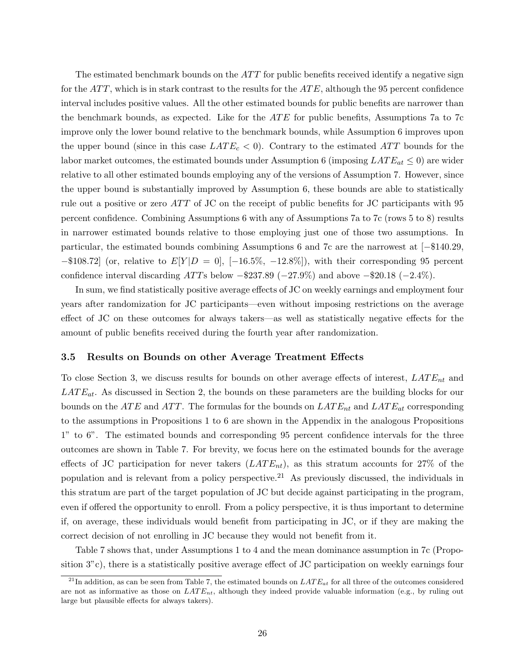The estimated benchmark bounds on the  $ATT$  for public benefits received identify a negative sign for the  $ATT$ , which is in stark contrast to the results for the  $ATE$ , although the 95 percent confidence interval includes positive values. All the other estimated bounds for public benefits are narrower than the benchmark bounds, as expected. Like for the  $ATE$  for public benefits, Assumptions 7a to 7c improve only the lower bound relative to the benchmark bounds, while Assumption 6 improves upon the upper bound (since in this case  $LATE<sub>c</sub> < 0$ ). Contrary to the estimated ATT bounds for the labor market outcomes, the estimated bounds under Assumption 6 (imposing  $LATE_{at} \leq 0$ ) are wider relative to all other estimated bounds employing any of the versions of Assumption 7. However, since the upper bound is substantially improved by Assumption 6, these bounds are able to statistically rule out a positive or zero ATT of JC on the receipt of public benefits for JC participants with 95 percent confidence. Combining Assumptions 6 with any of Assumptions 7a to 7c (rows 5 to 8) results in narrower estimated bounds relative to those employing just one of those two assumptions. In particular, the estimated bounds combining Assumptions 6 and 7c are the narrowest at [−\$140.29,  $-$ \$108.72] (or, relative to  $E[Y|D=0]$ ,  $[-16.5\%, -12.8\%]$ ), with their corresponding 95 percent confidence interval discarding ATTs below  $-237.89$  ( $-27.9\%$ ) and above  $-20.18$  ( $-2.4\%$ ).

In sum, we find statistically positive average effects of JC on weekly earnings and employment four years after randomization for JC participants—even without imposing restrictions on the average effect of JC on these outcomes for always takers—as well as statistically negative effects for the amount of public benefits received during the fourth year after randomization.

#### 3.5 Results on Bounds on other Average Treatment Effects

To close Section 3, we discuss results for bounds on other average effects of interest,  $LATE_{nt}$  and  $LATE_{at}$ . As discussed in Section 2, the bounds on these parameters are the building blocks for our bounds on the ATE and ATT. The formulas for the bounds on  $LATE_{nt}$  and  $LATE_{at}$  corresponding to the assumptions in Propositions 1 to 6 are shown in the Appendix in the analogous Propositions 1" to 6". The estimated bounds and corresponding 95 percent confidence intervals for the three outcomes are shown in Table 7. For brevity, we focus here on the estimated bounds for the average effects of JC participation for never takers  $(LATE_{nt})$ , as this stratum accounts for 27% of the population and is relevant from a policy perspective.<sup>21</sup> As previously discussed, the individuals in this stratum are part of the target population of JC but decide against participating in the program, even if offered the opportunity to enroll. From a policy perspective, it is thus important to determine if, on average, these individuals would benefit from participating in JC, or if they are making the correct decision of not enrolling in JC because they would not benefit from it.

Table 7 shows that, under Assumptions 1 to 4 and the mean dominance assumption in 7c (Proposition 3"c), there is a statistically positive average effect of JC participation on weekly earnings four

<sup>&</sup>lt;sup>21</sup>In addition, as can be seen from Table 7, the estimated bounds on  $LATE_{at}$  for all three of the outcomes considered are not as informative as those on  $LATE_{nt}$ , although they indeed provide valuable information (e.g., by ruling out large but plausible effects for always takers).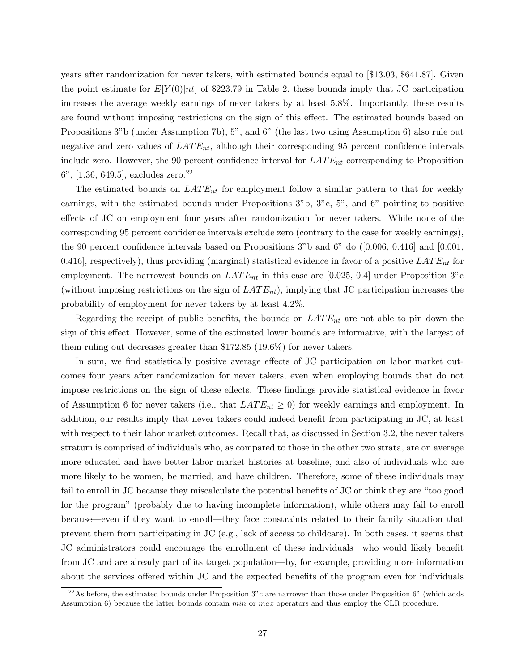years after randomization for never takers, with estimated bounds equal to [\$13.03, \$641.87]. Given the point estimate for  $E[Y(0)]$ nt of \$223.79 in Table 2, these bounds imply that JC participation increases the average weekly earnings of never takers by at least 5.8%. Importantly, these results are found without imposing restrictions on the sign of this effect. The estimated bounds based on Propositions 3"b (under Assumption 7b), 5", and 6" (the last two using Assumption 6) also rule out negative and zero values of  $LATE_{nt}$ , although their corresponding 95 percent confidence intervals include zero. However, the 90 percent confidence interval for  $LATE_{nt}$  corresponding to Proposition 6", [1.36, 649.5], excludes zero.<sup>22</sup>

The estimated bounds on  $LATE_{nt}$  for employment follow a similar pattern to that for weekly earnings, with the estimated bounds under Propositions 3"b, 3"c, 5", and 6" pointing to positive effects of JC on employment four years after randomization for never takers. While none of the corresponding 95 percent confidence intervals exclude zero (contrary to the case for weekly earnings), the 90 percent confidence intervals based on Propositions 3"b and 6" do ([0.006, 0.416] and [0.001, 0.416], respectively), thus providing (marginal) statistical evidence in favor of a positive  $LATE_{nt}$  for employment. The narrowest bounds on  $LATE_{nt}$  in this case are [0.025, 0.4] under Proposition 3"c (without imposing restrictions on the sign of  $LATE_{nt}$ ), implying that JC participation increases the probability of employment for never takers by at least 4.2%.

Regarding the receipt of public benefits, the bounds on  $LATE_{nt}$  are not able to pin down the sign of this effect. However, some of the estimated lower bounds are informative, with the largest of them ruling out decreases greater than \$172.85 (19.6%) for never takers.

In sum, we find statistically positive average effects of JC participation on labor market outcomes four years after randomization for never takers, even when employing bounds that do not impose restrictions on the sign of these effects. These findings provide statistical evidence in favor of Assumption 6 for never takers (i.e., that  $LATE_{nt} \ge 0$ ) for weekly earnings and employment. In addition, our results imply that never takers could indeed benefit from participating in JC, at least with respect to their labor market outcomes. Recall that, as discussed in Section 3.2, the never takers stratum is comprised of individuals who, as compared to those in the other two strata, are on average more educated and have better labor market histories at baseline, and also of individuals who are more likely to be women, be married, and have children. Therefore, some of these individuals may fail to enroll in JC because they miscalculate the potential benefits of JC or think they are "too good for the program" (probably due to having incomplete information), while others may fail to enroll because—even if they want to enroll—they face constraints related to their family situation that prevent them from participating in JC (e.g., lack of access to childcare). In both cases, it seems that JC administrators could encourage the enrollment of these individuals—who would likely benefit from JC and are already part of its target population—by, for example, providing more information about the services offered within JC and the expected benefits of the program even for individuals

 $^{22}$ As before, the estimated bounds under Proposition 3"c are narrower than those under Proposition 6" (which adds Assumption 6) because the latter bounds contain min or max operators and thus employ the CLR procedure.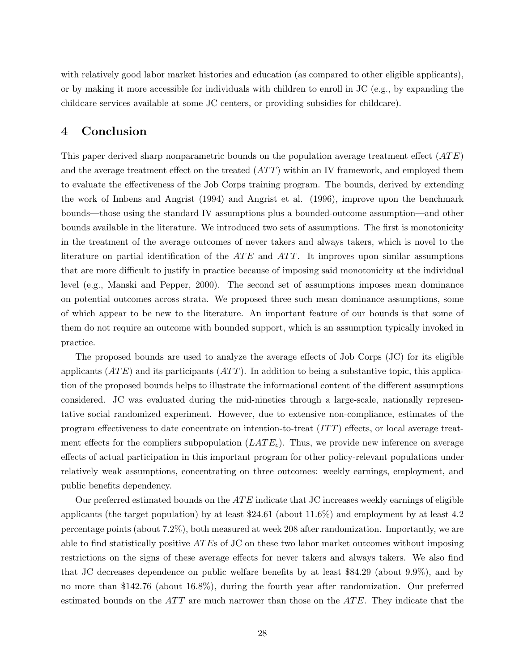with relatively good labor market histories and education (as compared to other eligible applicants), or by making it more accessible for individuals with children to enroll in JC (e.g., by expanding the childcare services available at some JC centers, or providing subsidies for childcare).

# 4 Conclusion

This paper derived sharp nonparametric bounds on the population average treatment effect  $(ATE)$ and the average treatment effect on the treated  $(ATT)$  within an IV framework, and employed them to evaluate the effectiveness of the Job Corps training program. The bounds, derived by extending the work of Imbens and Angrist (1994) and Angrist et al. (1996), improve upon the benchmark bounds—those using the standard IV assumptions plus a bounded-outcome assumption—and other bounds available in the literature. We introduced two sets of assumptions. The first is monotonicity in the treatment of the average outcomes of never takers and always takers, which is novel to the literature on partial identification of the  $ATE$  and  $ATT$ . It improves upon similar assumptions that are more difficult to justify in practice because of imposing said monotonicity at the individual level (e.g., Manski and Pepper, 2000). The second set of assumptions imposes mean dominance on potential outcomes across strata. We proposed three such mean dominance assumptions, some of which appear to be new to the literature. An important feature of our bounds is that some of them do not require an outcome with bounded support, which is an assumption typically invoked in practice.

The proposed bounds are used to analyze the average effects of Job Corps (JC) for its eligible applicants  $(ATE)$  and its participants  $(ATT)$ . In addition to being a substantive topic, this application of the proposed bounds helps to illustrate the informational content of the different assumptions considered. JC was evaluated during the mid-nineties through a large-scale, nationally representative social randomized experiment. However, due to extensive non-compliance, estimates of the program effectiveness to date concentrate on intention-to-treat  $(IT)$  effects, or local average treatment effects for the compliers subpopulation  $(LATE_c)$ . Thus, we provide new inference on average effects of actual participation in this important program for other policy-relevant populations under relatively weak assumptions, concentrating on three outcomes: weekly earnings, employment, and public benefits dependency.

Our preferred estimated bounds on the  $ATE$  indicate that JC increases weekly earnings of eligible applicants (the target population) by at least \$24.61 (about 11.6%) and employment by at least 4.2 percentage points (about 7.2%), both measured at week 208 after randomization. Importantly, we are able to find statistically positive  $ATE$ s of JC on these two labor market outcomes without imposing restrictions on the signs of these average effects for never takers and always takers. We also find that JC decreases dependence on public welfare benefits by at least \$84.29 (about 9.9%), and by no more than \$142.76 (about 16.8%), during the fourth year after randomization. Our preferred estimated bounds on the  $ATT$  are much narrower than those on the  $ATE$ . They indicate that the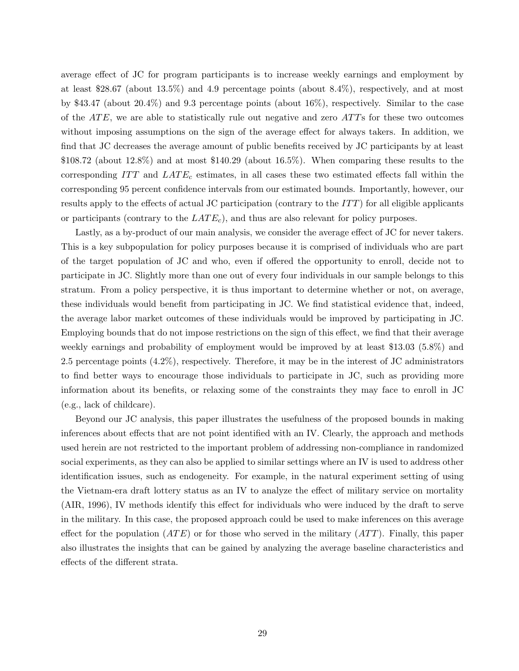average effect of JC for program participants is to increase weekly earnings and employment by at least \$28.67 (about 13.5%) and 4.9 percentage points (about 8.4%), respectively, and at most by \$43.47 (about 20.4%) and 9.3 percentage points (about 16%), respectively. Similar to the case of the  $ATE$ , we are able to statistically rule out negative and zero  $ATTs$  for these two outcomes without imposing assumptions on the sign of the average effect for always takers. In addition, we find that JC decreases the average amount of public benefits received by JC participants by at least  $$108.72$  (about  $12.8\%$ ) and at most  $$140.29$  (about  $16.5\%$ ). When comparing these results to the corresponding  $ITT$  and  $LATE_c$  estimates, in all cases these two estimated effects fall within the corresponding 95 percent confidence intervals from our estimated bounds. Importantly, however, our results apply to the effects of actual JC participation (contrary to the  $ITT$ ) for all eligible applicants or participants (contrary to the  $LATE<sub>c</sub>$ ), and thus are also relevant for policy purposes.

Lastly, as a by-product of our main analysis, we consider the average effect of JC for never takers. This is a key subpopulation for policy purposes because it is comprised of individuals who are part of the target population of JC and who, even if offered the opportunity to enroll, decide not to participate in JC. Slightly more than one out of every four individuals in our sample belongs to this stratum. From a policy perspective, it is thus important to determine whether or not, on average, these individuals would benefit from participating in JC. We find statistical evidence that, indeed, the average labor market outcomes of these individuals would be improved by participating in JC. Employing bounds that do not impose restrictions on the sign of this effect, we find that their average weekly earnings and probability of employment would be improved by at least \$13.03 (5.8%) and 2.5 percentage points (4.2%), respectively. Therefore, it may be in the interest of JC administrators to find better ways to encourage those individuals to participate in JC, such as providing more information about its benefits, or relaxing some of the constraints they may face to enroll in JC (e.g., lack of childcare).

Beyond our JC analysis, this paper illustrates the usefulness of the proposed bounds in making inferences about effects that are not point identified with an IV. Clearly, the approach and methods used herein are not restricted to the important problem of addressing non-compliance in randomized social experiments, as they can also be applied to similar settings where an IV is used to address other identification issues, such as endogeneity. For example, in the natural experiment setting of using the Vietnam-era draft lottery status as an IV to analyze the effect of military service on mortality (AIR, 1996), IV methods identify this effect for individuals who were induced by the draft to serve in the military. In this case, the proposed approach could be used to make inferences on this average effect for the population  $(ATE)$  or for those who served in the military  $(ATT)$ . Finally, this paper also illustrates the insights that can be gained by analyzing the average baseline characteristics and effects of the different strata.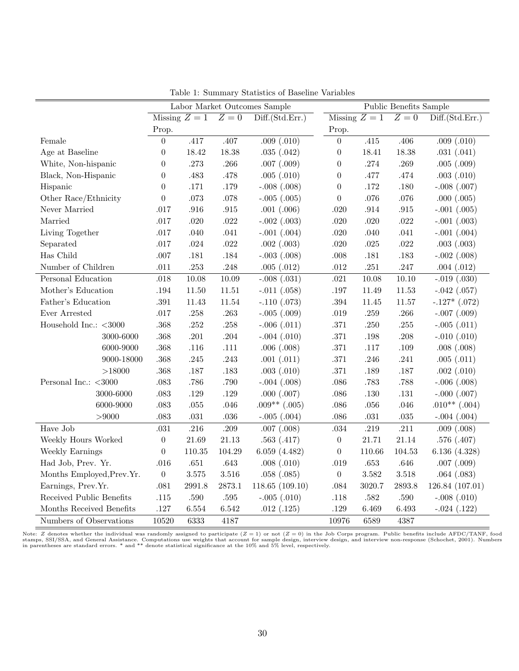|                            |                  |               |           | Labor Market Outcomes Sample |                  |               | Public Benefits Sample |                   |
|----------------------------|------------------|---------------|-----------|------------------------------|------------------|---------------|------------------------|-------------------|
|                            |                  | Missing $Z=1$ | $Z=0$     | Diff.(Std.Err.)              |                  | Missing $Z=1$ | $Z=0$                  | Diff.(Std.Err.)   |
|                            | Prop.            |               |           |                              | Prop.            |               |                        |                   |
| Female                     | $\overline{0}$   | .417          | $.407$    | .009(.010)                   | $\boldsymbol{0}$ | .415          | .406                   | .009(.010)        |
| Age at Baseline            | $\overline{0}$   | 18.42         | 18.38     | .035(.042)                   | $\boldsymbol{0}$ | 18.41         | 18.38                  | .031(.041)        |
| White, Non-hispanic        | $\overline{0}$   | .273          | .266      | $.007$ $(.009)$              | $\boldsymbol{0}$ | .274          | .269                   | .005(.009)        |
| Black, Non-Hispanic        | $\boldsymbol{0}$ | .483          | $.478\,$  | .005(.010)                   | $\boldsymbol{0}$ | .477          | .474                   | $.003$ $(.010)$   |
| Hispanic                   | $\overline{0}$   | .171          | $.179\,$  | $-.008(.008)$                | $\boldsymbol{0}$ | .172          | .180                   | $-.008(.007)$     |
| Other Race/Ethnicity       | $\boldsymbol{0}$ | $.073\,$      | $.078\,$  | $-.005(.005)$                | $\boldsymbol{0}$ | .076          | $.076\,$               | .000(.005)        |
| Never Married              | .017             | $.916\,$      | $.915\,$  | $.001$ $(.006)$              | .020             | $.914\,$      | $.915\,$               | $-.001(.005)$     |
| Married                    | .017             | $.020\,$      | $.022\,$  | $-.002(.003)$                | $.020\,$         | .020          | $.022\,$               | $-.001(.003)$     |
| Living Together            | .017             | .040          | $.041\,$  | $-.001(.004)$                | $.020\,$         | .040          | $.041$                 | $-.001(.004)$     |
| Separated                  | $.017$           | $.024\,$      | $.022\,$  | $.002$ $(.003)$              | $.020\,$         | $.025\,$      | $.022\,$               | $.003$ $(.003)$   |
| Has Child                  | .007             | $.181\,$      | $.184\,$  | $-.003(.008)$                | $.008$           | $.181\,$      | $.183\,$               | $-.002$ $(.008)$  |
| Number of Children         | .011             | $.253\,$      | $.248\,$  | .005(.012)                   | $.012\,$         | $.251\,$      | $.247\,$               | .004(.012)        |
| Personal Education         | .018             | $10.08\,$     | $10.09\,$ | $-.008(.031)$                | .021             | 10.08         | 10.10                  | $-.019(.030)$     |
| Mother's Education         | .194             | 11.50         | 11.51     | $-.011(.058)$                | $.197\,$         | 11.49         | 11.53                  | $-.042$ $(.057)$  |
| Father's Education         | $.391\,$         | 11.43         | 11.54     | $-.110(.073)$                | $.394\,$         | 11.45         | 11.57                  | $-.127*$ $(.072)$ |
| Ever Arrested              | $.017$           | .258          | $.263\,$  | $-.005(.009)$                | $.019$           | $.259\,$      | $.266\,$               | $-.007(.009)$     |
| Household Inc.: $<$ 3000   | .368             | .252          | $.258\,$  | $-.006(.011)$                | .371             | .250          | .255                   | $-.005(.011)$     |
| 3000-6000                  | .368             | .201          | $.204\,$  | $-.004(.010)$                | $.371\,$         | .198          | $.208\,$               | $-.010(.010)$     |
| 6000-9000                  | .368             | $.116$        | .111      | .006(.008)                   | $.371\,$         | $.117$        | .109                   | .008(.008)        |
| 9000-18000                 | .368             | $.245$        | .243      | .001(.011)                   | $.371\,$         | .246          | $.241\,$               | .005(.011)        |
| >18000                     | .368             | $.187\,$      | $.183\,$  | $.003$ $(.010)$              | $.371\,$         | .189          | .187                   | .002(.010)        |
| Personal Inc.: $<$ 3000    | .083             | .786          | .790      | $-.004(.008)$                | $.086$           | .783          | .788                   | $-.006(.008)$     |
| 3000-6000                  | .083             | .129          | $.129\,$  | .000(.007)                   | $.086$           | .130          | $.131\,$               | $-.000(.007)$     |
| 6000-9000                  | .083             | $.055\,$      | $.046\,$  | $.009**(.005)$               | $.086\,$         | $.056\,$      | $.046$                 | $.010**(.004)$    |
| > 9000                     | .083             | $.031\,$      | $.036\,$  | $-.005(.004)$                | $.086$           | $.031\,$      | $.035\,$               | $-.004(.004)$     |
| Have Job                   | .031             | $.216\,$      | $.209\,$  | $.007$ $(.008)$              | $.034\,$         | $.219\,$      | .211                   | $.009$ $(.008)$   |
| Weekly Hours Worked        | $\boldsymbol{0}$ | 21.69         | 21.13     | .563(.417)                   | $\boldsymbol{0}$ | 21.71         | 21.14                  | .576(.407)        |
| Weekly Earnings            | $\boldsymbol{0}$ | 110.35        | 104.29    | 6.059(4.482)                 | $\boldsymbol{0}$ | 110.66        | 104.53                 | 6.136(4.328)      |
| Had Job, Prev. Yr.         | .016             | $.651\,$      | $.643\,$  | .008(.010)                   | $.019\,$         | $.653\,$      | .646                   | $.007$ $(.009)$   |
| Months Employed, Prev. Yr. | $\boldsymbol{0}$ | $3.575\,$     | $3.516\,$ | .058(.085)                   | $\boldsymbol{0}$ | $3.582\,$     | $3.518\,$              | .064(.083)        |
| Earnings, Prev.Yr.         | .081             | 2991.8        | 2873.1    | 118.65(109.10)               | $.084\,$         | 3020.7        | 2893.8                 | 126.84 (107.01)   |
| Received Public Benefits   | .115             | .590          | $.595\,$  | $-.005(.010)$                | $.118$           | $.582\,$      | .590                   | $-.008(.010)$     |
| Months Received Benefits   | .127             | 6.554         | 6.542     | .012(.125)                   | .129             | 6.469         | 6.493                  | $-.024(.122)$     |
| Numbers of Observations    | 10520            | 6333          | 4187      |                              | 10976            | 6589          | 4387                   |                   |

Table 1: Summary Statistics of Baseline Variables

Note: Z denotes whether the individual was randomly assigned to participate (Z = 1) or not (Z = 0) in the Job Corps program. Public benefits include AFDC/TANF, food<br>stamps, SSI/SSA, and General Assistance. Computations use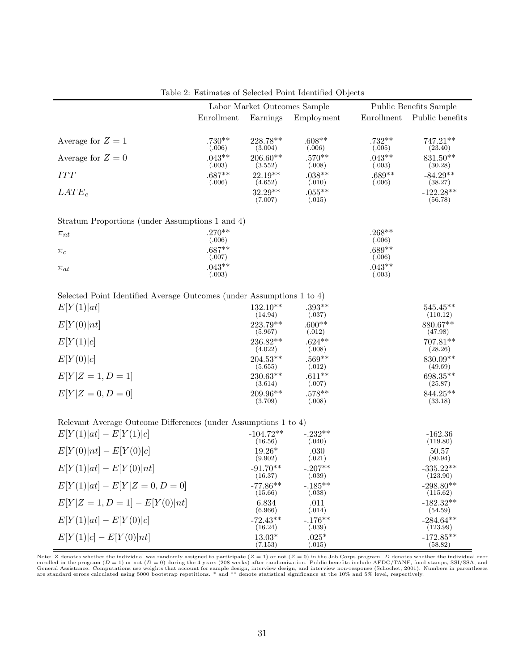|                                                                       |                    | Labor Market Outcomes Sample     |                               |                    | Public Benefits Sample             |
|-----------------------------------------------------------------------|--------------------|----------------------------------|-------------------------------|--------------------|------------------------------------|
|                                                                       | Enrollment         | Earnings                         | Employment                    | Enrollment         | Public benefits                    |
| Average for $Z=1$                                                     | $.730**$<br>(.006) | 228.78**<br>(3.004)              | $.608**$<br>(.006)            | $.732**$<br>(.005) | $747.21**$<br>(23.40)              |
| Average for $Z=0$                                                     | $.043**$<br>(.003) | 206.60**<br>(3.552)              | $.570**$<br>(.008)            | $.043**$<br>(.003) | 831.50**<br>(30.28)                |
| $ITT$                                                                 | $.687**$<br>(.006) | $22.19**$<br>(4.652)             | $.038**$<br>(.010)            | $.689**$<br>(.006) | $-84.29**$<br>(38.27)              |
| $LATE_c$                                                              |                    | $32.29**$<br>(7.007)             | $.055***$<br>(.015)           |                    | $-122.28**$<br>(56.78)             |
| Stratum Proportions (under Assumptions 1 and 4)                       |                    |                                  |                               |                    |                                    |
| $\pi_{nt}$                                                            | $.270**$<br>(.006) |                                  |                               | $.268**$<br>(.006) |                                    |
| $\pi_c$                                                               | $.687**$           |                                  |                               | $.689**$           |                                    |
| $\pi_{at}$                                                            | (.007)<br>$.043**$ |                                  |                               | (.006)<br>$.043**$ |                                    |
|                                                                       | (.003)             |                                  |                               | (.003)             |                                    |
| Selected Point Identified Average Outcomes (under Assumptions 1 to 4) |                    |                                  |                               |                    |                                    |
| E[Y(1) at]                                                            |                    | $132.10**$                       | $.393**$                      |                    | $545.45**$                         |
| E[Y(0) nt]                                                            |                    | (14.94)<br>223.79**              | (.037)<br>$.600**$            |                    | (110.12)<br>880.67**               |
| E[Y(1) c]                                                             |                    | (5.967)<br>236.82**<br>(4.022)   | (.012)<br>$.624**$<br>(.008)  |                    | (47.98)<br>$707.81**$<br>(28.26)   |
| E[Y(0) c]                                                             |                    | $204.53**$<br>(5.655)            | $.569**$<br>(.012)            |                    | 830.09**<br>(49.69)                |
| $E[Y Z = 1, D = 1]$                                                   |                    | 230.63**<br>(3.614)              | $.611**$<br>(.007)            |                    | 698.35**<br>(25.87)                |
| $E[Y Z=0,D=0]$                                                        |                    | 209.96**<br>(3.709)              | $.578**$<br>(.008)            |                    | 844.25**<br>(33.18)                |
| Relevant Average Outcome Differences (under Assumptions 1 to 4)       |                    |                                  |                               |                    |                                    |
| $E[Y(1) at] - E[Y(1) c]$                                              |                    | $-104.72**$                      | $-.232**$                     |                    | $-162.36$                          |
| $E[Y(0) nt] - E[Y(0) c]$                                              |                    | (16.56)<br>$19.26*$              | (.040)<br>.030                |                    | (119.80)<br>50.57                  |
| $E[Y(1) at] - E[Y(0) nt]$                                             |                    | (9.902)<br>$-91.70**$<br>(16.37) | (.021)<br>$-.207**$<br>(.039) |                    | (80.94)<br>$-335.22**$<br>(123.90) |
| $E[Y(1) at] - E[Y Z = 0, D = 0]$                                      |                    | $-77.86**$<br>(15.66)            | $-.185**$<br>(.038)           |                    | $-298.80**$<br>(115.62)            |
| $E[Y Z=1, D=1] - E[Y(0) nt]$                                          |                    | 6.834<br>(6.966)                 | .011<br>(.014)                |                    | $-182.32**$<br>(54.59)             |
| $E[Y(1) at] - E[Y(0) c]$                                              |                    | $-72.43**$<br>(16.24)            | $-.176**$<br>(.039)           |                    | $-284.64**$<br>(123.99)            |
| $E[Y(1) c] - E[Y(0) nt]$                                              |                    | $13.03*$<br>(7.153)              | $.025*$<br>(.015)             |                    | $-172.85**$<br>(58.82)             |
|                                                                       |                    |                                  |                               |                    |                                    |

|  | Table 2: Estimates of Selected Point Identified Objects |  |  |  |  |  |
|--|---------------------------------------------------------|--|--|--|--|--|
|--|---------------------------------------------------------|--|--|--|--|--|

Note: Z denotes whether the individual was randomly assigned to participate (Z = 1) or not (Z = 0) in the Job Corps program. D denotes whether the individual ever<br>enrolled in the program (D = 1) or not (D = 0) during the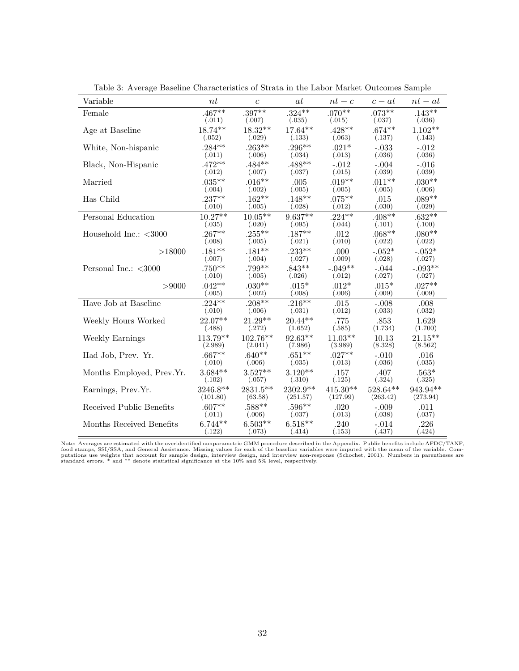| Variable                  | nt         | $\mathfrak{c}$ | <i>at</i> | $nt-c$     | $c - at$  | $nt-at$    |
|---------------------------|------------|----------------|-----------|------------|-----------|------------|
| Female                    | $.467**$   | $.397**$       | $.324***$ | $.070**$   | $.073**$  | $.143**$   |
|                           | (.011)     | (.007)         | (.035)    | (.015)     | (.037)    | (.036)     |
| Age at Baseline           | 18.74**    | $18.32**$      | 17.64**   | $.428**$   | $.674***$ | $1.102**$  |
|                           | (.052)     | (.029)         | (.133)    | (.063)     | (.137)    | (.143)     |
| White, Non-hispanic       | $.284**$   | $.263**$       | $.296***$ | $.021*$    | $-.033$   | $-.012$    |
|                           | (.011)     | (.006)         | (.034)    | (.013)     | (.036)    | (.036)     |
| Black, Non-Hispanic       | $.472**$   | $.484**$       | $.488**$  | $-.012$    | $-.004$   | $-.016$    |
|                           | (.012)     | (.007)         | (.037)    | (.015)     | (.039)    | (.039)     |
| Married                   | $.035***$  | $.016**$       | .005      | $.019**$   | $.011**$  | $.030**$   |
|                           | (.004)     | (.002)         | (.005)    | (.005)     | (.005)    | (.006)     |
| Has Child                 | $.237**$   | $.162**$       | $.148**$  | $.075***$  | .015      | $.089**$   |
|                           | (.010)     | (.005)         | (.028)    | (.012)     | (.030)    | (.029)     |
| Personal Education        | $10.27**$  | $10.05**$      | $9.637**$ | $.224***$  | $.408**$  | $.632**$   |
|                           | (.035)     | (.020)         | (.095)    | (.044)     | (.101)    | (.100)     |
| Household Inc.: $<$ 3000  | $.267**$   | $.255***$      | $.187**$  | .012       | $.068**$  | $.080**$   |
|                           | (.008)     | (.005)         | (.021)    | (.010)     | (.022)    | (.022)     |
| >18000                    | $.181**$   | $.181**$       | $.233**$  | .000       | $-.052*$  | $-.052*$   |
|                           | (.007)     | (.004)         | (.027)    | (.009)     | (.028)    | (.027)     |
| Personal Inc.: $<$ 3000   | $.750**$   | $.799**$       | $.843**$  | $-.049**$  | $-.044$   | $-.093**$  |
|                           | (.010)     | (.005)         | (.026)    | (.012)     | (.027)    | (.027)     |
| > 9000                    | $.042**$   | $.030**$       | $.015*$   | $.012*$    | $.015*$   | $.027**$   |
|                           | (.005)     | (.002)         | (.008)    | (.006)     | (.009)    | (.009)     |
| Have Job at Baseline      | $.224**$   | $.208**$       | $.216***$ | .015       | $-.008$   | .008       |
|                           | (.010)     | (.006)         | (.031)    | (.012)     | (.033)    | (.032)     |
| Weekly Hours Worked       | 22.07**    | $21.29**$      | $20.44**$ | .775       | .853      | 1.629      |
|                           | (.488)     | (.272)         | (1.652)   | (.585)     | (1.734)   | (1.700)    |
| Weekly Earnings           | $113.79**$ | $102.76**$     | $92.63**$ | $11.03**$  | 10.13     | $21.15***$ |
|                           | (2.989)    | (2.041)        | (7.986)   | (3.989)    | (8.328)   | (8.562)    |
| Had Job, Prev. Yr.        | $.667**$   | $.640**$       | $.651**$  | $.027**$   | $-.010$   | .016       |
|                           | (.010)     | (.006)         | (.035)    | (.013)     | (.036)    | (.035)     |
| Months Employed, Prev.Yr. | $3.684**$  | $3.527**$      | $3.120**$ | .157       | .407      | $.563*$    |
|                           | (.102)     | (.057)         | (.310)    | (.125)     | (.324)    | (.325)     |
| Earnings, Prev.Yr.        | 3246.8**   | $2831.5**$     | 2302.9**  | $415.30**$ | 528.64**  | 943.94**   |
|                           | (101.80)   | (63.58)        | (251.57)  | (127.99)   | (263.42)  | (273.94)   |
| Received Public Benefits  | $.607**$   | $.588**$       | $.596**$  | .020       | $-.009$   | .011       |
|                           | (.011)     | (.006)         | (.037)    | (.013)     | (.038)    | (.037)     |
| Months Received Benefits  | $6.744**$  | $6.503**$      | $6.518**$ | .240       | $-.014$   | .226       |
|                           | (.122)     | (.073)         | (.414)    | (.153)     | (.437)    | (.424)     |

Table 3: Average Baseline Characteristics of Strata in the Labor Market Outcomes Sample

Note: Averages are estimated with the overidentified nonparametric GMM procedure described in the Appendix. Public benefits include AFDC/TANF,<br>food stamps, SSI/SSA, and General Assistance. Missing values for each of the ba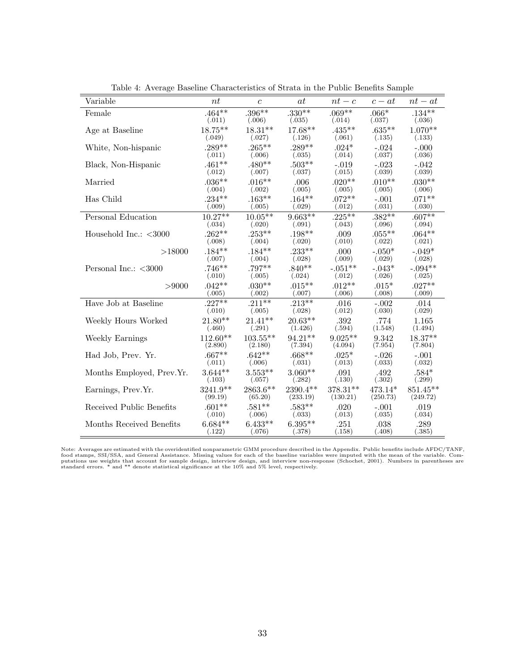| Variable                  | nt         | $\mathfrak{c}$ | at        | $nt-c$    | $c - at$  | $nt-at$    |
|---------------------------|------------|----------------|-----------|-----------|-----------|------------|
| Female                    | $.464**$   | $.396**$       | $.330**$  | $.069**$  | $.066*$   | $.134***$  |
|                           | (.011)     | (.006)         | (.035)    | (.014)    | (.037)    | (.036)     |
| Age at Baseline           | 18.75**    | $18.31**$      | 17.68**   | $.435***$ | $.635**$  | $1.070**$  |
|                           | (.049)     | (.027)         | (.126)    | (.061)    | (.135)    | (.133)     |
| White, Non-hispanic       | $.289**$   | $.265***$      | $.289**$  | $.024*$   | $-.024$   | $-.000$    |
|                           | (.011)     | (.006)         | (.035)    | (.014)    | (.037)    | (.036)     |
| Black, Non-Hispanic       | $.461**$   | $.480**$       | $.503**$  | $-.019$   | $-.023$   | $-.042$    |
|                           | (.012)     | (.007)         | (.037)    | (.015)    | (.039)    | (.039)     |
| Married                   | $.036**$   | $.016**$       | .006      | $.020**$  | $.010**$  | $.030**$   |
|                           | (.004)     | (.002)         | (.005)    | (.005)    | (.005)    | (.006)     |
| Has Child                 | $.234***$  | $.163**$       | $.164***$ | $.072**$  | $-.001$   | $.071**$   |
|                           | (.009)     | (.005)         | (.029)    | (.012)    | (.031)    | (.030)     |
| Personal Education        | $10.27**$  | $10.05**$      | $9.663**$ | $.225***$ | $.382**$  | $.607**$   |
|                           | (.034)     | (.020)         | (.091)    | (.043)    | (.096)    | (.094)     |
| Household Inc.: $<$ 3000  | $.262**$   | $.253**$       | $.198**$  | .009      | $.055***$ | $.064**$   |
|                           | (.008)     | (.004)         | (.020)    | (.010)    | (.022)    | (.021)     |
| >18000                    | $.184**$   | $.184***$      | $.233**$  | .000      | $-.050*$  | $-.049*$   |
|                           | (.007)     | (.004)         | (.028)    | (.009)    | (.029)    | (.028)     |
| Personal Inc.: $<$ 3000   | $.746**$   | .797**         | $.840**$  | $-.051**$ | $-.043*$  | $-.094**$  |
|                           | (.010)     | (.005)         | (.024)    | (.012)    | (.026)    | (.025)     |
| > 9000                    | $.042**$   | $.030**$       | $.015***$ | $.012**$  | $.015*$   | $.027**$   |
|                           | (.005)     | (.002)         | (.007)    | (.006)    | (.008)    | (.009)     |
| Have Job at Baseline      | $.227**$   | $.211**$       | $.213**$  | .016      | $-.002$   | .014       |
|                           | (.010)     | (.005)         | (.028)    | (.012)    | (.030)    | (.029)     |
| Weekly Hours Worked       | $21.80**$  | $21.41**$      | $20.63**$ | .392      | .774      | 1.165      |
|                           | (.460)     | (.291)         | (1.426)   | (.594)    | (1.548)   | (1.494)    |
| Weekly Earnings           | $112.60**$ | $103.55**$     | $94.21**$ | $9.025**$ | 9.342     | $18.37**$  |
|                           | (2.890)    | (2.180)        | (7.394)   | (4.094)   | (7.954)   | (7.804)    |
| Had Job, Prev. Yr.        | $.667**$   | $.642**$       | $.668**$  | $.025*$   | $-.026$   | $-.001$    |
|                           | (.011)     | (.006)         | (.031)    | (.013)    | (.033)    | (.032)     |
| Months Employed, Prev.Yr. | $3.644**$  | $3.553**$      | $3.060**$ | .091      | .492      | $.584*$    |
|                           | (.103)     | (.057)         | (.282)    | (.130)    | (.302)    | (.299)     |
| Earnings, Prev.Yr.        | $3241.9**$ | $2863.6**$     | 2390.4**  | 378.31**  | 473.14*   | $851.45**$ |
|                           | (99.19)    | (65.20)        | (233.19)  | (130.21)  | (250.73)  | (249.72)   |
| Received Public Benefits  | $.601**$   | $.581**$       | $.583**$  | .020      | $-.001$   | .019       |
|                           | (.010)     | (.006)         | (.033)    | (.013)    | (.035)    | (.034)     |
| Months Received Benefits  | $6.684**$  | $6.433**$      | $6.395**$ | .251      | .038      | .289       |
|                           | (.122)     | (.076)         | (.378)    | (.158)    | (.408)    | (.385)     |

Table 4: Average Baseline Characteristics of Strata in the Public Benefits Sample

Note: Averages are estimated with the overidentified nonparametric GMM procedure described in the Appendix. Public benefits include AFDC/TANF,<br>food stamps, SSI/SSA, and General Assistance. Missing values for each of the ba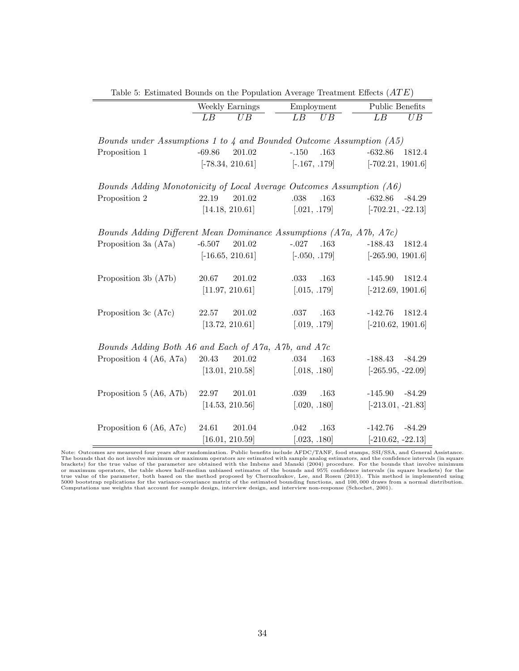|                                                                      |          | Weekly Earnings    | Employment      |      | Public Benefits     |          |
|----------------------------------------------------------------------|----------|--------------------|-----------------|------|---------------------|----------|
|                                                                      | LB       | UB                 | LB              | UB   | LB                  | UB       |
| Bounds under Assumptions 1 to 4 and Bounded Outcome Assumption (A5)  |          |                    |                 |      |                     |          |
| Proposition 1                                                        | $-69.86$ | 201.02             | $-.150$         | .163 | $-632.86$           | 1812.4   |
|                                                                      |          | $[-78.34, 210.61]$ | $[-.167, .179]$ |      | $[-702.21, 1901.6]$ |          |
| Bounds Adding Monotonicity of Local Average Outcomes Assumption (A6) |          |                    |                 |      |                     |          |
| Proposition 2                                                        | 22.19    | 201.02             | .038            | .163 | $-632.86$           | $-84.29$ |
|                                                                      |          | [14.18, 210.61]    | [.021, .179]    |      | $[-702.21, -22.13]$ |          |
| Bounds Adding Different Mean Dominance Assumptions (A7a, A7b, A7c)   |          |                    |                 |      |                     |          |
| Proposition 3a (A7a)                                                 | $-6.507$ | 201.02             | $-.027$         | .163 | $-188.43$           | 1812.4   |
|                                                                      |          | $[-16.65, 210.61]$ | $[-.050, .179]$ |      | $[-265.90, 1901.6]$ |          |
| Proposition 3b (A7b)                                                 | 20.67    | 201.02             | .033            | .163 | $-145.90$           | 1812.4   |
|                                                                      |          | [11.97, 210.61]    | [.015, .179]    |      | $[-212.69, 1901.6]$ |          |
| Proposition 3c (A7c)                                                 | 22.57    | 201.02             | .037            | .163 | $-142.76$           | 1812.4   |
|                                                                      |          | [13.72, 210.61]    | [.019, .179]    |      | $[-210.62, 1901.6]$ |          |
| Bounds Adding Both A6 and Each of A7a, A7b, and A7c                  |          |                    |                 |      |                     |          |
| Proposition 4 (A6, A7a)                                              | 20.43    | 201.02             | .034            | .163 | $-188.43$           | $-84.29$ |
|                                                                      |          | [13.01, 210.58]    | [.018, .180]    |      | $[-265.95, -22.09]$ |          |
| Proposition 5 (A6, A7b)                                              | 22.97    | 201.01             | $.039\,$        | .163 | $-145.90$           | $-84.29$ |
|                                                                      |          | [14.53, 210.56]    | [.020, .180]    |      | $[-213.01, -21.83]$ |          |
| Proposition 6 (A6, A7c)                                              | 24.61    | 201.04             | .042            | .163 | $-142.76$           | $-84.29$ |
|                                                                      |          | [16.01, 210.59]    | [.023, .180]    |      | $[-210.62, -22.13]$ |          |

Table 5: Estimated Bounds on the Population Average Treatment Effects  $(ATE)$ 

Note: Outcomes are measured four years after randomization. Public benefits include AFDC/TANF, food stamps, SSI/SSA, and General Assistance.<br>The bounds that do not involve minimum or maximum operators are estimated with sa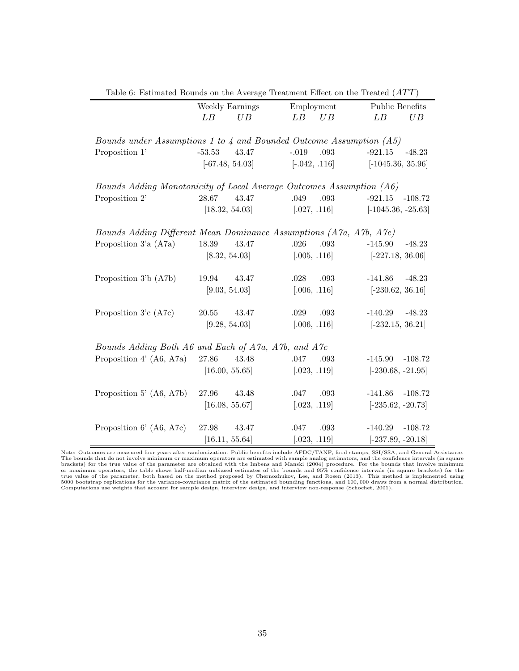| Table o: Estimated Dounds on the Average Treatment Effect on the Treated (ATT) |                   |                       |                        |
|--------------------------------------------------------------------------------|-------------------|-----------------------|------------------------|
|                                                                                | Weekly Earnings   | Employment            | Public Benefits        |
|                                                                                | LB<br>UB          | $\overline{LB}$<br>UB | LB<br>UB               |
|                                                                                |                   |                       |                        |
| Bounds under Assumptions 1 to $\lambda$ and Bounded Outcome Assumption (A5)    |                   |                       |                        |
| Proposition 1'                                                                 | $-53.53$<br>43.47 | $-.019$<br>.093       | $-921.15$<br>$-48.23$  |
|                                                                                | $[-67.48, 54.03]$ | $[-.042, .116]$       | $[-1045.36, 35.96]$    |
|                                                                                |                   |                       |                        |
| Bounds Adding Monotonicity of Local Average Outcomes Assumption (A6)           |                   |                       |                        |
| Proposition 2'                                                                 | 28.67<br>43.47    | .049<br>.093          | $-921.15$<br>-108.72   |
|                                                                                | [18.32, 54.03]    | [.027, .116]          | $[-1045.36, -25.63]$   |
|                                                                                |                   |                       |                        |
| Bounds Adding Different Mean Dominance Assumptions (A7a, A7b, A7c)             |                   |                       |                        |
| Proposition $3a (A7a)$                                                         | 18.39<br>43.47    | .026<br>.093          | $-145.90$<br>$-48.23$  |
|                                                                                | [8.32, 54.03]     | [.005, .116]          | $[-227.18, 36.06]$     |
|                                                                                |                   |                       |                        |
| Proposition 3'b (A7b)                                                          | 19.94<br>43.47    | .028<br>.093          | $-141.86$<br>$-48.23$  |
|                                                                                | [9.03, 54.03]     | [.006, .116]          | $[-230.62, 36.16]$     |
|                                                                                |                   |                       |                        |
| Proposition 3'c (A7c)                                                          | 20.55<br>43.47    | $.029\,$<br>.093      | $-140.29$<br>$-48.23$  |
|                                                                                | [9.28, 54.03]     | [.006, .116]          | $[-232.15, 36.21]$     |
|                                                                                |                   |                       |                        |
| Bounds Adding Both A6 and Each of A7a, A7b, and A7c                            |                   |                       |                        |
| Proposition 4' $(AG, A7a)$                                                     | 27.86<br>43.48    | .047<br>.093          | $-145.90 -108.72$      |
|                                                                                | [16.00, 55.65]    | [.023, .119]          | $[-230.68, -21.95]$    |
|                                                                                |                   |                       |                        |
| Proposition 5' $(46, 47b)$                                                     | 27.96<br>43.48    | .047<br>.093          | $-141.86 - 108.72$     |
|                                                                                | [16.08, 55.67]    | [.023, .119]          | $[-235.62, -20.73]$    |
|                                                                                |                   |                       |                        |
| Proposition $6'$ (A6, A7c)                                                     | 27.98<br>43.47    | .047<br>.093          | $-140.29$<br>$-108.72$ |
|                                                                                | [16.11, 55.64]    | [.023, .119]          | $[-237.89, -20.18]$    |

Table 6: Estimated Bounds on the Average Treatment Effect on the Treated  $(ATT)$ 

Note: Outcomes are measured four years after randomization. Public benefits include AFDC/TANF, food stamps, SSI/SSA, and General Assistance.<br>The bounds that do not involve minimum or maximum operators are estimated with sa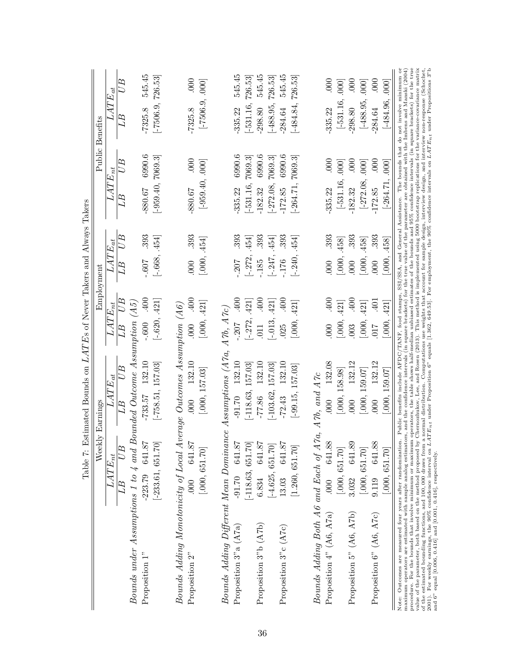|                                                                                                                                                                                                                                                                                                                                                                                                                                                                                                                                                                                                                                                                                                                                                                                                                                                                                                                                                                                                                               | Weekly Earnings        | Table 7: Estimated Bounds on $LATEs$ of Never Takers and Always Takers | Employment             |                   |                          | Public Benefits             |
|-------------------------------------------------------------------------------------------------------------------------------------------------------------------------------------------------------------------------------------------------------------------------------------------------------------------------------------------------------------------------------------------------------------------------------------------------------------------------------------------------------------------------------------------------------------------------------------------------------------------------------------------------------------------------------------------------------------------------------------------------------------------------------------------------------------------------------------------------------------------------------------------------------------------------------------------------------------------------------------------------------------------------------|------------------------|------------------------------------------------------------------------|------------------------|-------------------|--------------------------|-----------------------------|
|                                                                                                                                                                                                                                                                                                                                                                                                                                                                                                                                                                                                                                                                                                                                                                                                                                                                                                                                                                                                                               | $\overline{LATE}_{nt}$ | $\overline{L}ATE_{at}$                                                 | $\overline{LAT}E_{nt}$ | $\bar{L}ATE_{at}$ | $\overline{L}ATE_{nt}$   | $\overline{L}ATE_{at}$      |
|                                                                                                                                                                                                                                                                                                                                                                                                                                                                                                                                                                                                                                                                                                                                                                                                                                                                                                                                                                                                                               | $LB$ $U\overline{B}$   | $U$ $B$<br>LB.                                                         | LB UB                  | LB UB             | UB<br>LB                 | U <sub>B</sub><br>LB        |
| Bounds under Assumptions 1 to 4 and Bounded Outcome Assumption $(A5)$                                                                                                                                                                                                                                                                                                                                                                                                                                                                                                                                                                                                                                                                                                                                                                                                                                                                                                                                                         |                        |                                                                        |                        |                   |                          |                             |
| Proposition 1"                                                                                                                                                                                                                                                                                                                                                                                                                                                                                                                                                                                                                                                                                                                                                                                                                                                                                                                                                                                                                | $-223.79$ $641.87$     | $-733.57$ 132.10                                                       | $00F$ 009.             | .393<br>$109 -$   | 6990.6<br>-880.67        | 545.45<br>$-7325.8$         |
|                                                                                                                                                                                                                                                                                                                                                                                                                                                                                                                                                                                                                                                                                                                                                                                                                                                                                                                                                                                                                               | $[-233.61, \, 651.70]$ | $[-758.51, 157.03]$                                                    | $[-.620, .421]$        | $[-.668, .454]$   | $[-959.40, 7069.3]$      | $-7506.9, 726.53$           |
| $\label{eq:bound} Bourds \ Adding \ Monotonicity \ of \ Local \ Average \ Outcomes \ Assumption \ (A6)$                                                                                                                                                                                                                                                                                                                                                                                                                                                                                                                                                                                                                                                                                                                                                                                                                                                                                                                       |                        |                                                                        |                        |                   |                          |                             |
| Proposition 2"                                                                                                                                                                                                                                                                                                                                                                                                                                                                                                                                                                                                                                                                                                                                                                                                                                                                                                                                                                                                                | 641.87<br>.000         | 132.10<br>000                                                          | 00<br>$000$ .          | .393<br>000       | $000$ .<br>-880.67       | $000$ .<br>$-7325.8$        |
|                                                                                                                                                                                                                                                                                                                                                                                                                                                                                                                                                                                                                                                                                                                                                                                                                                                                                                                                                                                                                               | [.000, 651.70]         | [.000, 157.03]                                                         | [.000, .421]           | [0.000, .454]     | $[-959.40, .000]$        | $[-7506.9, .000]$           |
| Bounds Adding Different Mean Dominance Assumptions (ATa, ATb, ATc)                                                                                                                                                                                                                                                                                                                                                                                                                                                                                                                                                                                                                                                                                                                                                                                                                                                                                                                                                            |                        |                                                                        |                        |                   |                          |                             |
| Proposition $3"a$ (A7a)                                                                                                                                                                                                                                                                                                                                                                                                                                                                                                                                                                                                                                                                                                                                                                                                                                                                                                                                                                                                       | $-91.70$ $641.87$      | $-91.70$ 132.10                                                        | $-207$ 102.            | 393<br>$-207$     | 6990.6<br>-335.22        | 545.45<br>335.22            |
|                                                                                                                                                                                                                                                                                                                                                                                                                                                                                                                                                                                                                                                                                                                                                                                                                                                                                                                                                                                                                               | $[-118.63, \, 651.70]$ | $[-118.63, 157.03]$                                                    | $[-.272, .421]$        | $[-.272, .454]$   | $-531.16, 7069.3$        | 726.53<br>$-531.16,$        |
| Proposition 3"b (A7b)                                                                                                                                                                                                                                                                                                                                                                                                                                                                                                                                                                                                                                                                                                                                                                                                                                                                                                                                                                                                         | 6.834 641.87           | $-77.86$ 132.10                                                        | $-400$<br>.011         | .393<br>$-185$    | 6990.6<br>$-182.32$      | 545.45<br>$-298.80$         |
|                                                                                                                                                                                                                                                                                                                                                                                                                                                                                                                                                                                                                                                                                                                                                                                                                                                                                                                                                                                                                               | $[-4.625, 651.70]$     | $-103.62, 157.03$                                                      | $[-.013, .421]$        | $[-.247, .454]$   | $[-272.08, 7069.3]$      | 726.53<br>$-488.95,$        |
| Proposition $3"c$ (A7c)                                                                                                                                                                                                                                                                                                                                                                                                                                                                                                                                                                                                                                                                                                                                                                                                                                                                                                                                                                                                       | 13.03 641.87           | $-72.43$ 132.10                                                        | 400<br>025             | .393<br>$-176$    | 6990.6<br>$-172.85$      | 545.45<br>284.64            |
|                                                                                                                                                                                                                                                                                                                                                                                                                                                                                                                                                                                                                                                                                                                                                                                                                                                                                                                                                                                                                               | [1.260, 651.70]        | $[-99.15, 157.03]$                                                     | [.000, .421]           | $[-.240, .454]$   | $-264.71, 7069.3$        | $[-484.84, 726.53]$         |
| Bounds Adding Both A6 and Each of A7a, A7b, and A7c Proposition $4^n$ (A6, A7a) .000 641.88 .000 132.                                                                                                                                                                                                                                                                                                                                                                                                                                                                                                                                                                                                                                                                                                                                                                                                                                                                                                                         |                        |                                                                        |                        |                   |                          |                             |
| Proposition $4"$ (A6, A7a)                                                                                                                                                                                                                                                                                                                                                                                                                                                                                                                                                                                                                                                                                                                                                                                                                                                                                                                                                                                                    |                        | 132.08                                                                 | .400<br>$\infty$       | 393<br>000        | $\frac{8}{1}$<br>-335.22 | .000<br>$-335.22$           |
|                                                                                                                                                                                                                                                                                                                                                                                                                                                                                                                                                                                                                                                                                                                                                                                                                                                                                                                                                                                                                               | [.000, 651.70]         | [.000, 158.98]                                                         | [.000, .421]           | .000, .458        | $[-531.16, .000]$        | $[-531.16, .000]$           |
| Proposition $5"$ (A6, A7b) $\,$                                                                                                                                                                                                                                                                                                                                                                                                                                                                                                                                                                                                                                                                                                                                                                                                                                                                                                                                                                                               | 3.032 641.89           | 132.12<br>000                                                          | 00<br>003              | .393<br>000       | 000<br>$-182.32$         | $\frac{60}{2}$<br>$-298.80$ |
|                                                                                                                                                                                                                                                                                                                                                                                                                                                                                                                                                                                                                                                                                                                                                                                                                                                                                                                                                                                                                               | [.000, 651.70]         | [.000, 159.07]                                                         | [.000, .421]           | .000, .458        | $[-272.08, .000]$        | $[-488.95, .000]$           |
| Proposition 6" (A6, A7c)                                                                                                                                                                                                                                                                                                                                                                                                                                                                                                                                                                                                                                                                                                                                                                                                                                                                                                                                                                                                      | 9.119 641.88           | 132.12<br>000                                                          | .401<br>017            | .393<br>000       | $000$ .<br>$-172.85$     | $000$ .<br>$-284.64$        |
|                                                                                                                                                                                                                                                                                                                                                                                                                                                                                                                                                                                                                                                                                                                                                                                                                                                                                                                                                                                                                               | [.000, 651.70]         | 1.000, 159.07                                                          | .421<br>[.000]         | .458<br>.000.     | $[-264.71, .000]$        | $[-484.96, .000]$           |
| value of the parameter, both based on the method proposed by Chernozhukov, Lee, and Rosen (2013). This method is implemented using 5000 bootstrap replications for the variance-covariance matrix<br>of the estimated bounding functions, and 100,000 draws from a normal distribution. Computations use weights that account for sample design, interview design, and interview non-response (Schochet,<br>2001). For weekly earning<br>maximum operators are estimated with sample analog estimators, and the confidence intervals (in square brackets) for the true value of the parameter are obtained with the Imbens and Manski (2004)<br>Note: Outcomes are measured four years after randomization. Public benefits include AFDC/TANF, food stamps, SSI/SSA, and General Assistance. The bounds that do not involve minimum or<br>procedure. For the bounds that involve minimum or maximum operators, the table shows half-median unbiased estimates of the bounds and 95% confidence intervals (in square brackets) |                        |                                                                        |                        |                   |                          | for the true                |
|                                                                                                                                                                                                                                                                                                                                                                                                                                                                                                                                                                                                                                                                                                                                                                                                                                                                                                                                                                                                                               |                        |                                                                        |                        |                   |                          |                             |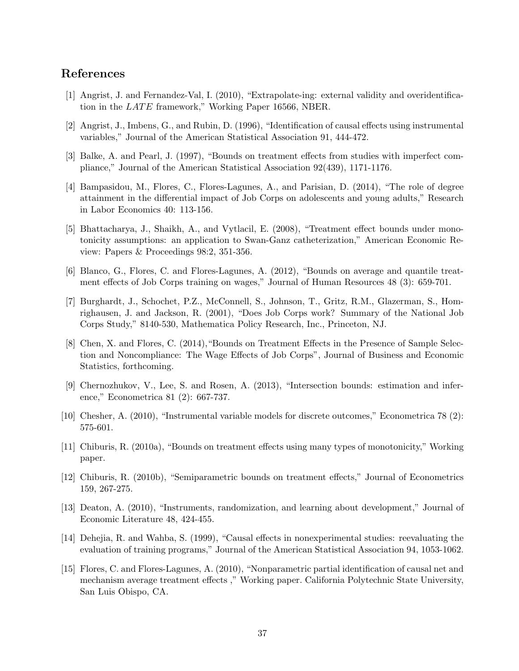# References

- [1] Angrist, J. and Fernandez-Val, I. (2010), "Extrapolate-ing: external validity and overidentification in the  $LATE$  framework," Working Paper 16566, NBER.
- [2] Angrist, J., Imbens, G., and Rubin, D. (1996), "Identification of causal effects using instrumental variables," Journal of the American Statistical Association 91, 444-472.
- [3] Balke, A. and Pearl, J. (1997), "Bounds on treatment effects from studies with imperfect compliance," Journal of the American Statistical Association 92(439), 1171-1176.
- [4] Bampasidou, M., Flores, C., Flores-Lagunes, A., and Parisian, D. (2014), "The role of degree attainment in the differential impact of Job Corps on adolescents and young adults," Research in Labor Economics 40: 113-156.
- [5] Bhattacharya, J., Shaikh, A., and Vytlacil, E. (2008), "Treatment effect bounds under monotonicity assumptions: an application to Swan-Ganz catheterization," American Economic Review: Papers & Proceedings 98:2, 351-356.
- [6] Blanco, G., Flores, C. and Flores-Lagunes, A. (2012), "Bounds on average and quantile treatment effects of Job Corps training on wages," Journal of Human Resources 48 (3): 659-701.
- [7] Burghardt, J., Schochet, P.Z., McConnell, S., Johnson, T., Gritz, R.M., Glazerman, S., Homrighausen, J. and Jackson, R. (2001), "Does Job Corps work? Summary of the National Job Corps Study," 8140-530, Mathematica Policy Research, Inc., Princeton, NJ.
- [8] Chen, X. and Flores, C. (2014),"Bounds on Treatment Effects in the Presence of Sample Selection and Noncompliance: The Wage Effects of Job Corps", Journal of Business and Economic Statistics, forthcoming.
- [9] Chernozhukov, V., Lee, S. and Rosen, A. (2013), "Intersection bounds: estimation and inference," Econometrica 81 (2): 667-737.
- [10] Chesher, A. (2010), "Instrumental variable models for discrete outcomes," Econometrica 78 (2): 575-601.
- [11] Chiburis, R. (2010a), "Bounds on treatment effects using many types of monotonicity," Working paper.
- [12] Chiburis, R. (2010b), "Semiparametric bounds on treatment effects," Journal of Econometrics 159, 267-275.
- [13] Deaton, A. (2010), "Instruments, randomization, and learning about development," Journal of Economic Literature 48, 424-455.
- [14] Dehejia, R. and Wahba, S. (1999), "Causal effects in nonexperimental studies: reevaluating the evaluation of training programs," Journal of the American Statistical Association 94, 1053-1062.
- [15] Flores, C. and Flores-Lagunes, A. (2010), "Nonparametric partial identification of causal net and mechanism average treatment effects ," Working paper. California Polytechnic State University, San Luis Obispo, CA.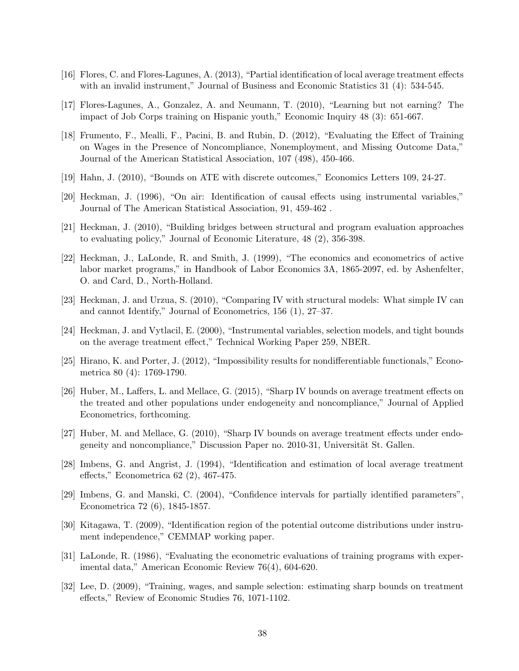- [16] Flores, C. and Flores-Lagunes, A. (2013), "Partial identification of local average treatment effects with an invalid instrument," Journal of Business and Economic Statistics 31 (4): 534-545.
- [17] Flores-Lagunes, A., Gonzalez, A. and Neumann, T. (2010), "Learning but not earning? The impact of Job Corps training on Hispanic youth," Economic Inquiry 48 (3): 651-667.
- [18] Frumento, F., Mealli, F., Pacini, B. and Rubin, D. (2012), "Evaluating the Effect of Training on Wages in the Presence of Noncompliance, Nonemployment, and Missing Outcome Data," Journal of the American Statistical Association, 107 (498), 450-466.
- [19] Hahn, J. (2010), "Bounds on ATE with discrete outcomes," Economics Letters 109, 24-27.
- [20] Heckman, J. (1996), "On air: Identification of causal effects using instrumental variables," Journal of The American Statistical Association, 91, 459-462 .
- [21] Heckman, J. (2010), "Building bridges between structural and program evaluation approaches to evaluating policy," Journal of Economic Literature, 48 (2), 356-398.
- [22] Heckman, J., LaLonde, R. and Smith, J. (1999), "The economics and econometrics of active labor market programs," in Handbook of Labor Economics 3A, 1865-2097, ed. by Ashenfelter, O. and Card, D., North-Holland.
- [23] Heckman, J. and Urzua, S. (2010), "Comparing IV with structural models: What simple IV can and cannot Identify," Journal of Econometrics, 156 (1), 27–37.
- [24] Heckman, J. and Vytlacil, E. (2000), "Instrumental variables, selection models, and tight bounds on the average treatment effect," Technical Working Paper 259, NBER.
- [25] Hirano, K. and Porter, J. (2012), "Impossibility results for nondifferentiable functionals," Econometrica 80 (4): 1769-1790.
- [26] Huber, M., Laffers, L. and Mellace, G. (2015), "Sharp IV bounds on average treatment effects on the treated and other populations under endogeneity and noncompliance," Journal of Applied Econometrics, forthcoming.
- [27] Huber, M. and Mellace, G. (2010), "Sharp IV bounds on average treatment effects under endogeneity and noncompliance," Discussion Paper no. 2010-31, Universität St. Gallen.
- [28] Imbens, G. and Angrist, J. (1994), "Identification and estimation of local average treatment effects," Econometrica 62 (2), 467-475.
- [29] Imbens, G. and Manski, C. (2004), "Confidence intervals for partially identified parameters", Econometrica 72 (6), 1845-1857.
- [30] Kitagawa, T. (2009), "Identification region of the potential outcome distributions under instrument independence," CEMMAP working paper.
- [31] LaLonde, R. (1986), "Evaluating the econometric evaluations of training programs with experimental data," American Economic Review 76(4), 604-620.
- [32] Lee, D. (2009), "Training, wages, and sample selection: estimating sharp bounds on treatment effects," Review of Economic Studies 76, 1071-1102.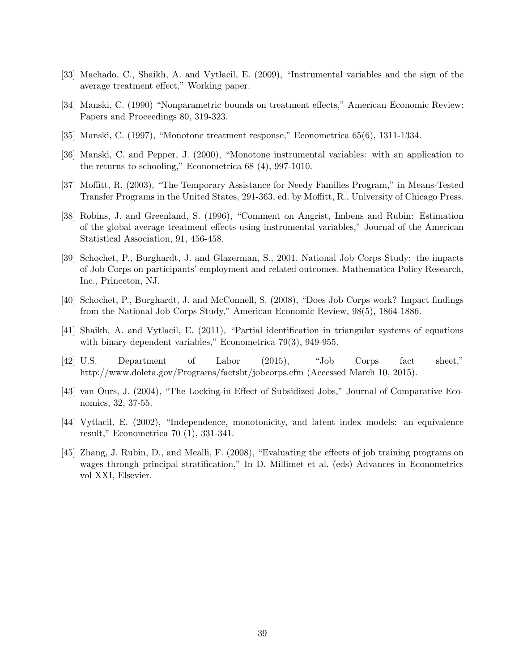- [33] Machado, C., Shaikh, A. and Vytlacil, E. (2009), "Instrumental variables and the sign of the average treatment effect," Working paper.
- [34] Manski, C. (1990) "Nonparametric bounds on treatment effects," American Economic Review: Papers and Proceedings 80, 319-323.
- [35] Manski, C. (1997), "Monotone treatment response," Econometrica 65(6), 1311-1334.
- [36] Manski, C. and Pepper, J. (2000), "Monotone instrumental variables: with an application to the returns to schooling," Econometrica 68 (4), 997-1010.
- [37] Moffitt, R. (2003), "The Temporary Assistance for Needy Families Program," in Means-Tested Transfer Programs in the United States, 291-363, ed. by Moffitt, R., University of Chicago Press.
- [38] Robins, J. and Greenland, S. (1996), "Comment on Angrist, Imbens and Rubin: Estimation of the global average treatment effects using instrumental variables," Journal of the American Statistical Association, 91, 456-458.
- [39] Schochet, P., Burghardt, J. and Glazerman, S., 2001. National Job Corps Study: the impacts of Job Corps on participants' employment and related outcomes. Mathematica Policy Research, Inc., Princeton, NJ.
- [40] Schochet, P., Burghardt, J. and McConnell, S. (2008), "Does Job Corps work? Impact findings from the National Job Corps Study," American Economic Review, 98(5), 1864-1886.
- [41] Shaikh, A. and Vytlacil, E. (2011), "Partial identification in triangular systems of equations with binary dependent variables," Econometrica 79(3), 949-955.
- [42] U.S. Department of Labor (2015), "Job Corps fact sheet," http://www.doleta.gov/Programs/factsht/jobcorps.cfm (Accessed March 10, 2015).
- [43] van Ours, J. (2004), "The Locking-in Effect of Subsidized Jobs," Journal of Comparative Economics, 32, 37-55.
- [44] Vytlacil, E. (2002), "Independence, monotonicity, and latent index models: an equivalence result," Econometrica 70 (1), 331-341.
- [45] Zhang, J. Rubin, D., and Mealli, F. (2008), "Evaluating the effects of job training programs on wages through principal stratification," In D. Millimet et al. (eds) Advances in Econometrics vol XXI, Elsevier.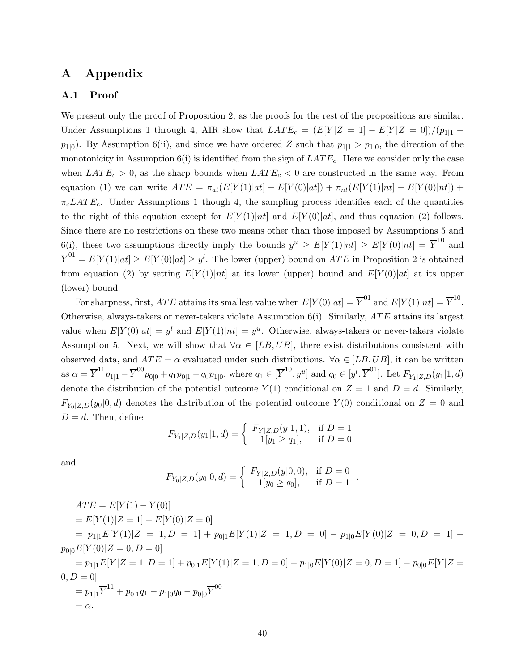# A Appendix

## A.1 Proof

We present only the proof of Proposition 2, as the proofs for the rest of the propositions are similar. Under Assumptions 1 through 4, AIR show that  $LATE_c = (E[Y|Z = 1] - E[Y|Z = 0])/(p_{1|1} - p_{2|2})$  $p_{1|0}$ ). By Assumption 6(ii), and since we have ordered Z such that  $p_{1|1} > p_{1|0}$ , the direction of the monotonicity in Assumption  $6(i)$  is identified from the sign of  $LATE_c$ . Here we consider only the case when  $LATE_c > 0$ , as the sharp bounds when  $LATE_c < 0$  are constructed in the same way. From equation (1) we can write  $ATE = \pi_{at}(E[Y(1)|at] - E[Y(0)|at]) + \pi_{nt}(E[Y(1)|nt] - E[Y(0)|nt]) +$  $\pi_c LATE_c$ . Under Assumptions 1 though 4, the sampling process identifies each of the quantities to the right of this equation except for  $E[Y(1)|nt]$  and  $E[Y(0)|at]$ , and thus equation (2) follows. Since there are no restrictions on these two means other than those imposed by Assumptions 5 and 6(i), these two assumptions directly imply the bounds  $y^u \geq E[Y(1)|nt] \geq E[Y(0)|nt] = \overline{Y}^{10}$  and  $\overline{Y}^{01} = E[Y(1)|at] \geq E[Y(0)|at] \geq y^l$ . The lower (upper) bound on ATE in Proposition 2 is obtained from equation (2) by setting  $E[Y(1)|nt]$  at its lower (upper) bound and  $E[Y(0)|at]$  at its upper (lower) bound.

For sharpness, first,  $ATE$  attains its smallest value when  $E[Y(0)|at] = \overline{Y}^{01}$  and  $E[Y(1)|nt] = \overline{Y}^{10}$ . Otherwise, always-takers or never-takers violate Assumption  $6(i)$ . Similarly,  $ATE$  attains its largest value when  $E[Y(0)|at] = y^l$  and  $E[Y(1)|nt] = y^u$ . Otherwise, always-takers or never-takers violate Assumption 5. Next, we will show that  $\forall \alpha \in [LB, UB]$ , there exist distributions consistent with observed data, and  $ATE = \alpha$  evaluated under such distributions.  $\forall \alpha \in [LB, UB]$ , it can be written as  $\alpha = \overline{Y}^{11} p_{1|1} - \overline{Y}^{00} p_{0|0} + q_1 p_{0|1} - q_0 p_{1|0}$ , where  $q_1 \in [\overline{Y}^{10}, y^u]$  and  $q_0 \in [y^l, \overline{Y}^{01}]$ . Let  $F_{Y_1|Z,D}(y_1|1, d)$ denote the distribution of the potential outcome  $Y(1)$  conditional on  $Z = 1$  and  $D = d$ . Similarly,  $F_{Y_0|Z,D}(y_0|0, d)$  denotes the distribution of the potential outcome  $Y(0)$  conditional on  $Z = 0$  and  $D = d$ . Then, define

$$
F_{Y_1|Z,D}(y_1|1,d) = \begin{cases} F_{Y|Z,D}(y|1,1), & \text{if } D = 1\\ 1[y_1 \ge q_1], & \text{if } D = 0 \end{cases}
$$

and

$$
F_{Y_0|Z,D}(y_0|0,d) = \begin{cases} F_{Y|Z,D}(y|0,0), & \text{if } D = 0 \\ 1[y_0 \ge q_0], & \text{if } D = 1 \end{cases}.
$$

$$
ATE = E[Y(1) - Y(0)]
$$
  
=  $E[Y(1)|Z = 1] - E[Y(0)|Z = 0]$   
=  $p_{1|1}E[Y(1)|Z = 1, D = 1] + p_{0|1}E[Y(1)|Z = 1, D = 0] - p_{1|0}E[Y(0)|Z = 0, D = 1] -$   
 $p_{0|0}E[Y(0)|Z = 0, D = 0]$   
=  $p_{1|1}E[Y|Z = 1, D = 1] + p_{0|1}E[Y(1)|Z = 1, D = 0] - p_{1|0}E[Y(0)|Z = 0, D = 1] - p_{0|0}E[Y|Z = 0, D = 0]$   
=  $p_{1|1}\overline{Y}^{11} + p_{0|1}q_1 - p_{1|0}q_0 - p_{0|0}\overline{Y}^{00}$   
=  $\alpha$ .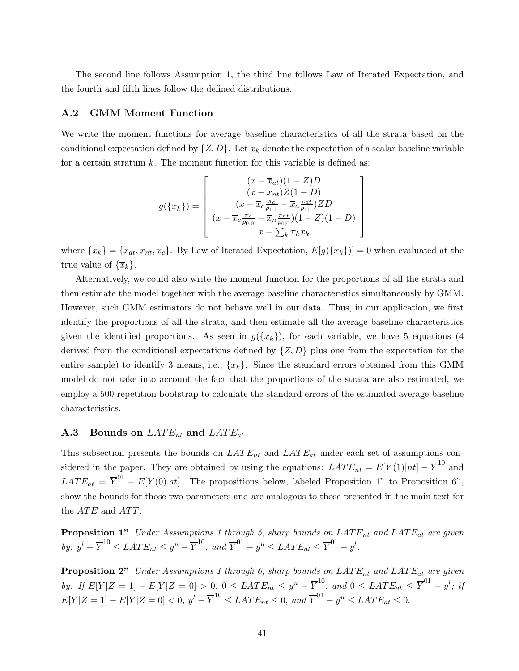The second line follows Assumption 1, the third line follows Law of Iterated Expectation, and the fourth and fifth lines follow the defined distributions.

#### A.2 GMM Moment Function

We write the moment functions for average baseline characteristics of all the strata based on the conditional expectation defined by  $\{Z, D\}$ . Let  $\overline{x}_k$  denote the expectation of a scalar baseline variable for a certain stratum  $k$ . The moment function for this variable is defined as:

$$
g(\{\overline{x}_k\}) = \begin{bmatrix} (x - \overline{x}_{at})(1 - Z)D \\ (x - \overline{x}_{nt})Z(1 - D) \\ (x - \overline{x}_c \frac{\pi_c}{p_{1|1}} - \overline{x}_a \frac{\pi_{at}}{p_{1|1}})ZD \\ (x - \overline{x}_c \frac{\pi_c}{p_{0|0}} - \overline{x}_n \frac{\pi_{nt}}{p_{0|0}})(1 - Z)(1 - D) \\ x - \sum_k \pi_k \overline{x}_k \end{bmatrix}
$$

where  ${\lbrace \overline{x}_k \rbrace} = {\lbrace \overline{x}_{at}, \overline{x}_{nt}, \overline{x}_c \rbrace}$ . By Law of Iterated Expectation,  $E[g(\lbrace \overline{x}_k \rbrace)] = 0$  when evaluated at the true value of  $\{\overline{x}_k\}.$ 

Alternatively, we could also write the moment function for the proportions of all the strata and then estimate the model together with the average baseline characteristics simultaneously by GMM. However, such GMM estimators do not behave well in our data. Thus, in our application, we first identify the proportions of all the strata, and then estimate all the average baseline characteristics given the identified proportions. As seen in  $g(\lbrace \bar{x}_k \rbrace)$ , for each variable, we have 5 equations (4 derived from the conditional expectations defined by  $\{Z, D\}$  plus one from the expectation for the entire sample) to identify 3 means, i.e.,  $\{\bar{x}_k\}$ . Since the standard errors obtained from this GMM model do not take into account the fact that the proportions of the strata are also estimated, we employ a 500-repetition bootstrap to calculate the standard errors of the estimated average baseline characteristics.

## **A.3** Bounds on  $LATE_{nt}$  and  $LATE_{at}$

This subsection presents the bounds on  $LATE_{nt}$  and  $LATE_{at}$  under each set of assumptions considered in the paper. They are obtained by using the equations:  $LATE_{nt} = E[Y(1)|nt] - \overline{Y}^{10}$  and  $LATE_{at} = \overline{Y}^{01} - E[Y(0)|at]$ . The propositions below, labeled Proposition 1" to Proposition 6", show the bounds for those two parameters and are analogous to those presented in the main text for the  $ATE$  and  $ATT$ .

**Proposition 1"** Under Assumptions 1 through 5, sharp bounds on  $\text{LATE}_{nt}$  and  $\text{LATE}_{at}$  are given by:  $y^l - \overline{Y}^{10} \leq LATE_{nt} \leq y^u - \overline{Y}^{10}$ , and  $\overline{Y}^{01} - y^u \leq LATE_{at} \leq \overline{Y}^{01} - y^l$ .

**Proposition 2"** Under Assumptions 1 through 6, sharp bounds on  $\text{LATE}_{nt}$  and  $\text{LATE}_{at}$  are given by: If  $E[Y|Z = 1] - E[Y|Z = 0] > 0$ ,  $0 \leq LATE_{nt} \leq y^u - \overline{Y}^{10}$ , and  $0 \leq LATE_{at} \leq \overline{Y}^{01} - y^l$ ; if  $E[Y|Z=1] - E[Y|Z=0] < 0, y^l - \overline{Y}^{10} \leq LATE_{nt} \leq 0, and \overline{Y}^{01} - y^u \leq LATE_{at} \leq 0.$